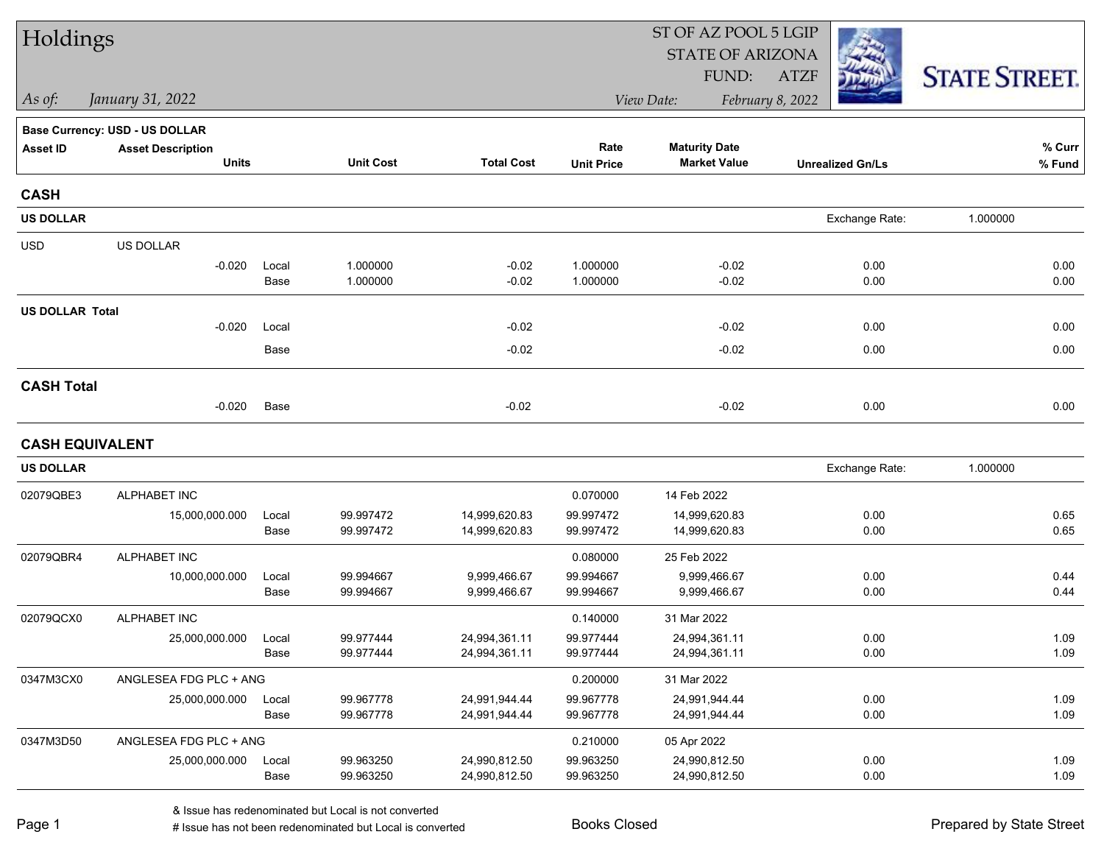| Holdings               |                                          |               |                        |                                | ST OF AZ POOL 5 LGIP      |                                             |                         |                      |  |  |
|------------------------|------------------------------------------|---------------|------------------------|--------------------------------|---------------------------|---------------------------------------------|-------------------------|----------------------|--|--|
|                        |                                          |               |                        |                                |                           | <b>STATE OF ARIZONA</b>                     |                         |                      |  |  |
|                        |                                          |               |                        |                                |                           | FUND:                                       | <b>ATZF</b>             | <b>STATE STREET.</b> |  |  |
| As of:                 | January 31, 2022                         |               |                        |                                |                           | View Date:                                  | February 8, 2022        |                      |  |  |
|                        | Base Currency: USD - US DOLLAR           |               |                        |                                |                           |                                             |                         |                      |  |  |
| <b>Asset ID</b>        | <b>Asset Description</b><br><b>Units</b> |               | <b>Unit Cost</b>       | <b>Total Cost</b>              | Rate<br><b>Unit Price</b> | <b>Maturity Date</b><br><b>Market Value</b> | <b>Unrealized Gn/Ls</b> | $%$ Curr<br>% Fund   |  |  |
|                        |                                          |               |                        |                                |                           |                                             |                         |                      |  |  |
| <b>CASH</b>            |                                          |               |                        |                                |                           |                                             |                         |                      |  |  |
| <b>US DOLLAR</b>       |                                          |               |                        |                                |                           |                                             | Exchange Rate:          | 1.000000             |  |  |
| <b>USD</b>             | US DOLLAR                                |               |                        |                                |                           |                                             |                         |                      |  |  |
|                        | $-0.020$                                 | Local         | 1.000000               | $-0.02$                        | 1.000000                  | $-0.02$                                     | 0.00                    | 0.00                 |  |  |
|                        |                                          | Base          | 1.000000               | $-0.02$                        | 1.000000                  | $-0.02$                                     | 0.00                    | 0.00                 |  |  |
| <b>US DOLLAR Total</b> |                                          |               |                        |                                |                           |                                             |                         |                      |  |  |
|                        | $-0.020$                                 | Local         |                        | $-0.02$                        |                           | $-0.02$                                     | 0.00                    | 0.00                 |  |  |
|                        |                                          | Base          |                        | $-0.02$                        |                           | $-0.02$                                     | 0.00                    | 0.00                 |  |  |
| <b>CASH Total</b>      |                                          |               |                        |                                |                           |                                             |                         |                      |  |  |
|                        | $-0.020$                                 | Base          |                        | $-0.02$                        |                           | $-0.02$                                     | 0.00                    | 0.00                 |  |  |
| <b>CASH EQUIVALENT</b> |                                          |               |                        |                                |                           |                                             |                         |                      |  |  |
| <b>US DOLLAR</b>       |                                          |               |                        |                                |                           |                                             | Exchange Rate:          | 1.000000             |  |  |
| 02079QBE3              | ALPHABET INC                             |               |                        |                                | 0.070000                  | 14 Feb 2022                                 |                         |                      |  |  |
|                        | 15,000,000.000                           | Local         | 99.997472              | 14,999,620.83                  | 99.997472                 | 14,999,620.83                               | 0.00                    | 0.65                 |  |  |
|                        |                                          | Base          | 99.997472              | 14,999,620.83                  | 99.997472                 | 14,999,620.83                               | 0.00                    | 0.65                 |  |  |
| 02079QBR4              | <b>ALPHABET INC</b>                      |               |                        |                                | 0.080000                  | 25 Feb 2022                                 |                         |                      |  |  |
|                        | 10,000,000.000                           | Local         | 99.994667              | 9,999,466.67                   | 99.994667                 | 9,999,466.67                                | 0.00                    | 0.44                 |  |  |
|                        |                                          | Base          | 99.994667              | 9,999,466.67                   | 99.994667                 | 9,999,466.67                                | 0.00                    | 0.44                 |  |  |
| 02079QCX0              | ALPHABET INC                             |               |                        |                                | 0.140000                  | 31 Mar 2022                                 |                         |                      |  |  |
|                        | 25,000,000.000                           | Local         | 99.977444              | 24,994,361.11                  | 99.977444                 | 24,994,361.11                               | 0.00                    | 1.09                 |  |  |
|                        |                                          | Base          | 99.977444              | 24,994,361.11                  | 99.977444                 | 24,994,361.11                               | 0.00                    | 1.09                 |  |  |
| 0347M3CX0              | ANGLESEA FDG PLC + ANG                   |               |                        |                                | 0.200000                  | 31 Mar 2022                                 |                         |                      |  |  |
|                        | 25,000,000.000                           | Local<br>Base | 99.967778<br>99.967778 | 24,991,944.44<br>24,991,944.44 | 99.967778<br>99.967778    | 24,991,944.44<br>24,991,944.44              | 0.00<br>0.00            | 1.09<br>1.09         |  |  |
|                        |                                          |               |                        |                                |                           |                                             |                         |                      |  |  |
| 0347M3D50              | ANGLESEA FDG PLC + ANG                   |               |                        |                                | 0.210000                  | 05 Apr 2022                                 |                         |                      |  |  |
|                        | 25,000,000.000                           | Local<br>Base | 99.963250<br>99.963250 | 24,990,812.50<br>24,990,812.50 | 99.963250<br>99.963250    | 24,990,812.50<br>24,990,812.50              | 0.00<br>0.00            | 1.09<br>1.09         |  |  |
|                        |                                          |               |                        |                                |                           |                                             |                         |                      |  |  |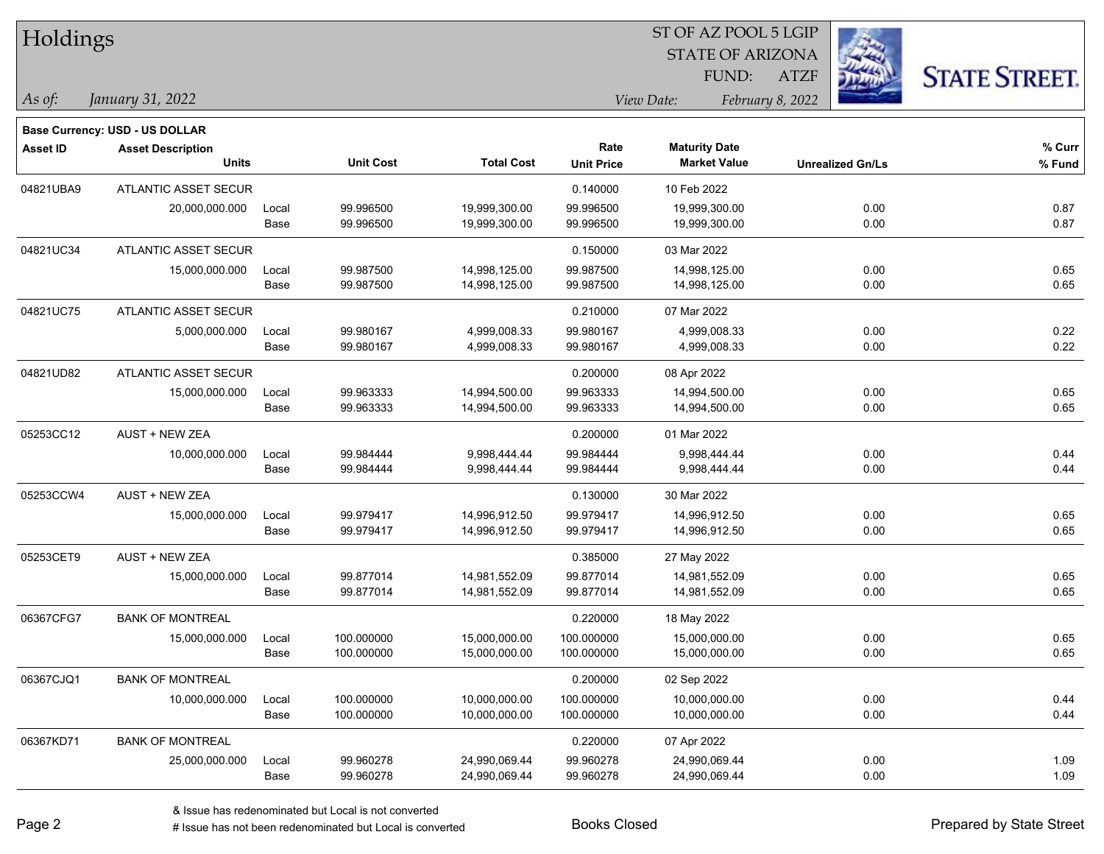| Holdings        |                                          |       |                  |                   | 51 OF AZ POOL 5 LGIP      |                                             |                  |                         |                      |  |
|-----------------|------------------------------------------|-------|------------------|-------------------|---------------------------|---------------------------------------------|------------------|-------------------------|----------------------|--|
|                 |                                          |       |                  |                   |                           | <b>STATE OF ARIZONA</b>                     |                  |                         |                      |  |
|                 |                                          |       |                  |                   |                           | FUND:                                       | <b>ATZF</b>      |                         | <b>STATE STREET.</b> |  |
| As of:          | January 31, 2022                         |       |                  |                   |                           | View Date:                                  | February 8, 2022 |                         |                      |  |
|                 |                                          |       |                  |                   |                           |                                             |                  |                         |                      |  |
|                 | <b>Base Currency: USD - US DOLLAR</b>    |       |                  |                   |                           |                                             |                  |                         |                      |  |
| <b>Asset ID</b> | <b>Asset Description</b><br><b>Units</b> |       | <b>Unit Cost</b> | <b>Total Cost</b> | Rate<br><b>Unit Price</b> | <b>Maturity Date</b><br><b>Market Value</b> |                  | <b>Unrealized Gn/Ls</b> | $%$ Curr<br>% Fund   |  |
|                 |                                          |       |                  |                   |                           |                                             |                  |                         |                      |  |
| 04821UBA9       | ATLANTIC ASSET SECUR                     |       |                  |                   | 0.140000                  | 10 Feb 2022                                 |                  |                         |                      |  |
|                 | 20,000,000.000                           | Local | 99.996500        | 19,999,300.00     | 99.996500                 | 19,999,300.00                               |                  | 0.00                    | 0.87                 |  |
|                 |                                          | Base  | 99.996500        | 19,999,300.00     | 99.996500                 | 19,999,300.00                               |                  | 0.00                    | 0.87                 |  |
| 04821UC34       | ATLANTIC ASSET SECUR                     |       |                  |                   | 0.150000                  | 03 Mar 2022                                 |                  |                         |                      |  |
|                 | 15,000,000.000                           | Local | 99.987500        | 14,998,125.00     | 99.987500                 | 14,998,125.00                               |                  | 0.00                    | 0.65                 |  |
|                 |                                          | Base  | 99.987500        | 14,998,125.00     | 99.987500                 | 14,998,125.00                               |                  | 0.00                    | 0.65                 |  |
| 04821UC75       | ATLANTIC ASSET SECUR                     |       |                  |                   | 0.210000                  | 07 Mar 2022                                 |                  |                         |                      |  |
|                 | 5,000,000.000                            | Local | 99.980167        | 4,999,008.33      | 99.980167                 | 4,999,008.33                                |                  | 0.00                    | 0.22                 |  |
|                 |                                          | Base  | 99.980167        | 4,999,008.33      | 99.980167                 | 4,999,008.33                                |                  | 0.00                    | 0.22                 |  |
| 04821UD82       | ATLANTIC ASSET SECUR                     |       |                  |                   | 0.200000                  | 08 Apr 2022                                 |                  |                         |                      |  |
|                 | 15,000,000.000                           | Local | 99.963333        | 14,994,500.00     | 99.963333                 | 14,994,500.00                               |                  | 0.00                    | 0.65                 |  |
|                 |                                          | Base  | 99.963333        | 14,994,500.00     | 99.963333                 | 14,994,500.00                               |                  | 0.00                    | 0.65                 |  |
| 05253CC12       | <b>AUST + NEW ZEA</b>                    |       |                  |                   | 0.200000                  | 01 Mar 2022                                 |                  |                         |                      |  |
|                 | 10,000,000.000                           | Local | 99.984444        | 9,998,444.44      | 99.984444                 | 9,998,444.44                                |                  | 0.00                    | 0.44                 |  |
|                 |                                          | Base  | 99.984444        | 9,998,444.44      | 99.984444                 | 9,998,444.44                                |                  | 0.00                    | 0.44                 |  |
| 05253CCW4       | AUST + NEW ZEA                           |       |                  |                   | 0.130000                  | 30 Mar 2022                                 |                  |                         |                      |  |
|                 | 15,000,000.000                           | Local | 99.979417        | 14,996,912.50     | 99.979417                 | 14,996,912.50                               |                  | 0.00                    | 0.65                 |  |
|                 |                                          | Base  | 99.979417        | 14,996,912.50     | 99.979417                 | 14,996,912.50                               |                  | 0.00                    | 0.65                 |  |
| 05253CET9       | AUST + NEW ZEA                           |       |                  |                   | 0.385000                  | 27 May 2022                                 |                  |                         |                      |  |
|                 | 15,000,000.000                           | Local | 99.877014        | 14,981,552.09     | 99.877014                 | 14,981,552.09                               |                  | 0.00                    | 0.65                 |  |
|                 |                                          | Base  | 99.877014        | 14,981,552.09     | 99.877014                 | 14,981,552.09                               |                  | 0.00                    | 0.65                 |  |
| 06367CFG7       | <b>BANK OF MONTREAL</b>                  |       |                  |                   | 0.220000                  | 18 May 2022                                 |                  |                         |                      |  |
|                 | 15,000,000.000                           | Local | 100.000000       | 15,000,000.00     | 100.000000                | 15,000,000.00                               |                  | 0.00                    | 0.65                 |  |
|                 |                                          | Base  | 100.000000       | 15,000,000.00     | 100.000000                | 15,000,000.00                               |                  | 0.00                    | 0.65                 |  |
| 06367CJQ1       | <b>BANK OF MONTREAL</b>                  |       |                  |                   | 0.200000                  | 02 Sep 2022                                 |                  |                         |                      |  |
|                 | 10,000,000.000                           | Local | 100.000000       | 10,000,000.00     | 100.000000                | 10,000,000.00                               |                  | 0.00                    | 0.44                 |  |
|                 |                                          | Base  | 100.000000       | 10,000,000.00     | 100.000000                | 10,000,000.00                               |                  | 0.00                    | 0.44                 |  |
| 06367KD71       | <b>BANK OF MONTREAL</b>                  |       |                  |                   | 0.220000                  | 07 Apr 2022                                 |                  |                         |                      |  |
|                 | 25,000,000.000                           | Local | 99.960278        | 24,990,069.44     | 99.960278                 | 24,990,069.44                               |                  | 0.00                    | 1.09                 |  |
|                 |                                          | Base  | 99.960278        | 24,990,069.44     | 99.960278                 | 24,990,069.44                               |                  | 0.00                    | 1.09                 |  |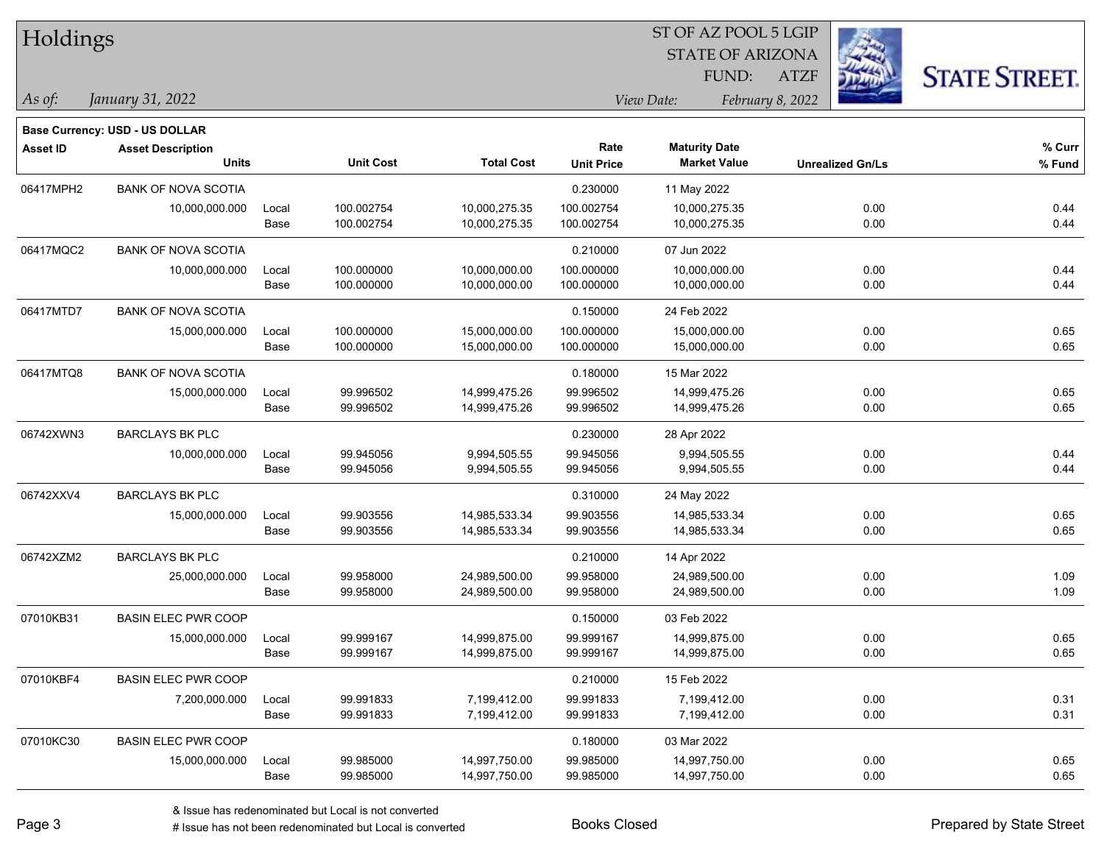| <b>Holdings</b> |                                       |       |                  |                   | 51 OF AZ POOL 5 LGIP |                         |                         |                      |  |  |
|-----------------|---------------------------------------|-------|------------------|-------------------|----------------------|-------------------------|-------------------------|----------------------|--|--|
|                 |                                       |       |                  |                   |                      | <b>STATE OF ARIZONA</b> | 23                      |                      |  |  |
|                 |                                       |       |                  |                   |                      | FUND:                   | <b>ATZF</b>             | <b>STATE STREET.</b> |  |  |
| As of:          | January 31, 2022                      |       |                  |                   |                      | View Date:              | February 8, 2022        |                      |  |  |
|                 | <b>Base Currency: USD - US DOLLAR</b> |       |                  |                   |                      |                         |                         |                      |  |  |
| <b>Asset ID</b> | <b>Asset Description</b>              |       |                  |                   | Rate                 | <b>Maturity Date</b>    |                         | % Curr               |  |  |
|                 | <b>Units</b>                          |       | <b>Unit Cost</b> | <b>Total Cost</b> | <b>Unit Price</b>    | <b>Market Value</b>     | <b>Unrealized Gn/Ls</b> | % Fund               |  |  |
| 06417MPH2       | <b>BANK OF NOVA SCOTIA</b>            |       |                  |                   | 0.230000             | 11 May 2022             |                         |                      |  |  |
|                 | 10,000,000.000                        | Local | 100.002754       | 10,000,275.35     | 100.002754           | 10,000,275.35           | 0.00                    | 0.44                 |  |  |
|                 |                                       | Base  | 100.002754       | 10,000,275.35     | 100.002754           | 10,000,275.35           | 0.00                    | 0.44                 |  |  |
| 06417MQC2       | <b>BANK OF NOVA SCOTIA</b>            |       |                  |                   | 0.210000             | 07 Jun 2022             |                         |                      |  |  |
|                 | 10,000,000.000                        | Local | 100.000000       | 10,000,000.00     | 100.000000           | 10,000,000.00           | 0.00                    | 0.44                 |  |  |
|                 |                                       | Base  | 100.000000       | 10,000,000.00     | 100.000000           | 10,000,000.00           | 0.00                    | 0.44                 |  |  |
| 06417MTD7       | <b>BANK OF NOVA SCOTIA</b>            |       |                  |                   | 0.150000             | 24 Feb 2022             |                         |                      |  |  |
|                 | 15,000,000.000                        | Local | 100.000000       | 15,000,000.00     | 100.000000           | 15,000,000.00           | 0.00                    | 0.65                 |  |  |
|                 |                                       | Base  | 100.000000       | 15,000,000.00     | 100.000000           | 15,000,000.00           | 0.00                    | 0.65                 |  |  |
| 06417MTQ8       | <b>BANK OF NOVA SCOTIA</b>            |       |                  |                   | 0.180000             | 15 Mar 2022             |                         |                      |  |  |
|                 | 15,000,000.000                        | Local | 99.996502        | 14,999,475.26     | 99.996502            | 14,999,475.26           | 0.00                    | 0.65                 |  |  |
|                 |                                       | Base  | 99.996502        | 14,999,475.26     | 99.996502            | 14,999,475.26           | 0.00                    | 0.65                 |  |  |
| 06742XWN3       | <b>BARCLAYS BK PLC</b>                |       |                  |                   | 0.230000             | 28 Apr 2022             |                         |                      |  |  |
|                 | 10,000,000.000                        | Local | 99.945056        | 9,994,505.55      | 99.945056            | 9,994,505.55            | 0.00                    | 0.44                 |  |  |
|                 |                                       | Base  | 99.945056        | 9,994,505.55      | 99.945056            | 9,994,505.55            | 0.00                    | 0.44                 |  |  |
| 06742XXV4       | <b>BARCLAYS BK PLC</b>                |       |                  |                   | 0.310000             | 24 May 2022             |                         |                      |  |  |
|                 | 15,000,000.000                        | Local | 99.903556        | 14,985,533.34     | 99.903556            | 14,985,533.34           | 0.00                    | 0.65                 |  |  |
|                 |                                       | Base  | 99.903556        | 14,985,533.34     | 99.903556            | 14,985,533.34           | 0.00                    | 0.65                 |  |  |
| 06742XZM2       | <b>BARCLAYS BK PLC</b>                |       |                  |                   | 0.210000             | 14 Apr 2022             |                         |                      |  |  |
|                 | 25,000,000.000                        | Local | 99.958000        | 24,989,500.00     | 99.958000            | 24,989,500.00           | 0.00                    | 1.09                 |  |  |
|                 |                                       | Base  | 99.958000        | 24,989,500.00     | 99.958000            | 24,989,500.00           | 0.00                    | 1.09                 |  |  |
| 07010KB31       | <b>BASIN ELEC PWR COOP</b>            |       |                  |                   | 0.150000             | 03 Feb 2022             |                         |                      |  |  |
|                 | 15,000,000.000                        | Local | 99.999167        | 14,999,875.00     | 99.999167            | 14,999,875.00           | 0.00                    | 0.65                 |  |  |
|                 |                                       | Base  | 99.999167        | 14,999,875.00     | 99.999167            | 14,999,875.00           | 0.00                    | 0.65                 |  |  |
| 07010KBF4       | <b>BASIN ELEC PWR COOP</b>            |       |                  |                   | 0.210000             | 15 Feb 2022             |                         |                      |  |  |
|                 | 7,200,000.000                         | Local | 99.991833        | 7,199,412.00      | 99.991833            | 7,199,412.00            | 0.00                    | 0.31                 |  |  |
|                 |                                       | Base  | 99.991833        | 7,199,412.00      | 99.991833            | 7,199,412.00            | 0.00                    | 0.31                 |  |  |
| 07010KC30       | <b>BASIN ELEC PWR COOP</b>            |       |                  |                   | 0.180000             | 03 Mar 2022             |                         |                      |  |  |
|                 | 15,000,000.000                        | Local | 99.985000        | 14,997,750.00     | 99.985000            | 14,997,750.00           | 0.00                    | 0.65                 |  |  |
|                 |                                       | Base  | 99.985000        | 14,997,750.00     | 99.985000            | 14,997,750.00           | 0.00                    | 0.65                 |  |  |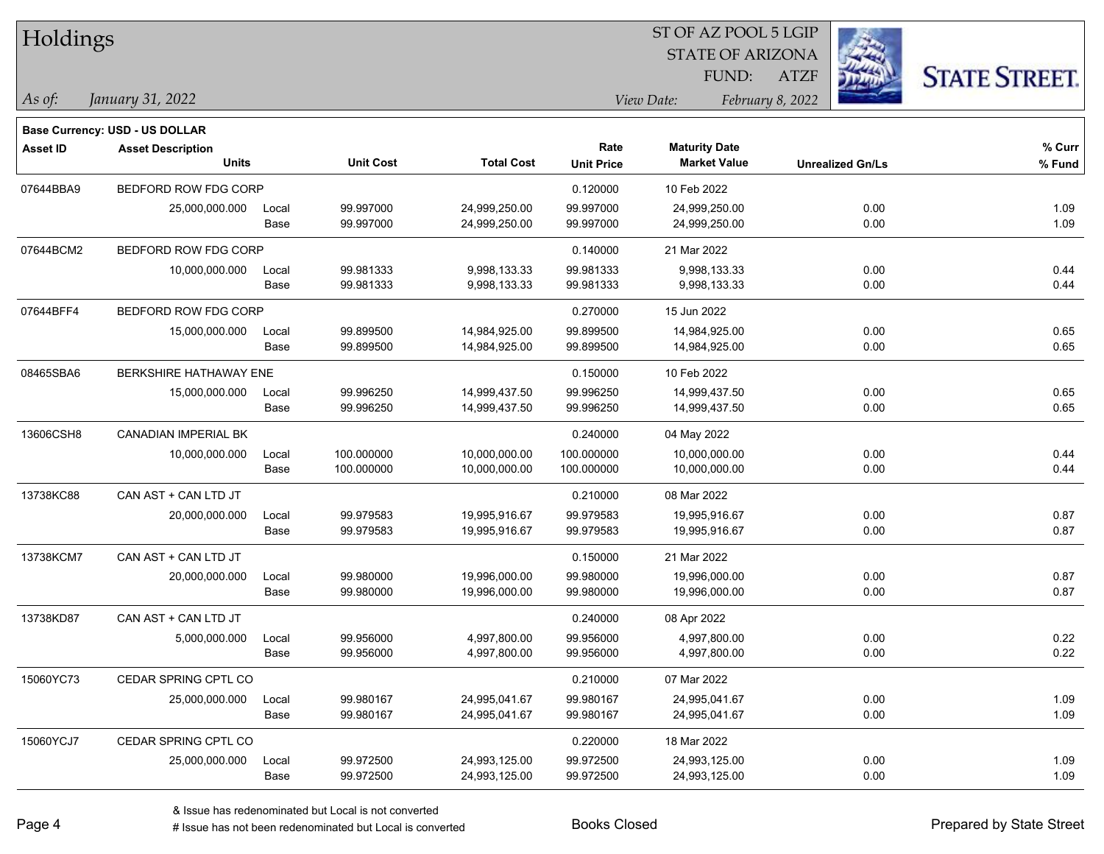| Holdings        |                                       |       |                  |                   |                   |                         | ST OF AZ POOL 5 LGIP    |                      |  |
|-----------------|---------------------------------------|-------|------------------|-------------------|-------------------|-------------------------|-------------------------|----------------------|--|
|                 |                                       |       |                  |                   |                   | <b>STATE OF ARIZONA</b> |                         |                      |  |
|                 |                                       |       |                  |                   |                   | FUND:                   | <b>ATZF</b>             | <b>STATE STREET.</b> |  |
| As of:          | January 31, 2022                      |       |                  |                   |                   | View Date:              | February 8, 2022        |                      |  |
|                 | <b>Base Currency: USD - US DOLLAR</b> |       |                  |                   |                   |                         |                         |                      |  |
| <b>Asset ID</b> | <b>Asset Description</b>              |       |                  |                   | Rate              | <b>Maturity Date</b>    |                         | % Curr               |  |
|                 | <b>Units</b>                          |       | <b>Unit Cost</b> | <b>Total Cost</b> | <b>Unit Price</b> | <b>Market Value</b>     | <b>Unrealized Gn/Ls</b> | % Fund               |  |
| 07644BBA9       | BEDFORD ROW FDG CORP                  |       |                  |                   | 0.120000          | 10 Feb 2022             |                         |                      |  |
|                 | 25,000,000.000                        | Local | 99.997000        | 24,999,250.00     | 99.997000         | 24,999,250.00           | 0.00                    | 1.09                 |  |
|                 |                                       | Base  | 99.997000        | 24,999,250.00     | 99.997000         | 24,999,250.00           | 0.00                    | 1.09                 |  |
| 07644BCM2       | BEDFORD ROW FDG CORP                  |       |                  |                   | 0.140000          | 21 Mar 2022             |                         |                      |  |
|                 | 10,000,000.000                        | Local | 99.981333        | 9,998,133.33      | 99.981333         | 9,998,133.33            | 0.00                    | 0.44                 |  |
|                 |                                       | Base  | 99.981333        | 9,998,133.33      | 99.981333         | 9,998,133.33            | 0.00                    | 0.44                 |  |
| 07644BFF4       | BEDFORD ROW FDG CORP                  |       |                  |                   | 0.270000          | 15 Jun 2022             |                         |                      |  |
|                 | 15,000,000.000                        | Local | 99.899500        | 14,984,925.00     | 99.899500         | 14,984,925.00           | 0.00                    | 0.65                 |  |
|                 |                                       | Base  | 99.899500        | 14,984,925.00     | 99.899500         | 14,984,925.00           | 0.00                    | 0.65                 |  |
| 08465SBA6       | <b>BERKSHIRE HATHAWAY ENE</b>         |       |                  |                   | 0.150000          | 10 Feb 2022             |                         |                      |  |
|                 | 15,000,000.000                        | Local | 99.996250        | 14,999,437.50     | 99.996250         | 14,999,437.50           | 0.00                    | 0.65                 |  |
|                 |                                       | Base  | 99.996250        | 14,999,437.50     | 99.996250         | 14,999,437.50           | 0.00                    | 0.65                 |  |
| 13606CSH8       | <b>CANADIAN IMPERIAL BK</b>           |       |                  |                   | 0.240000          | 04 May 2022             |                         |                      |  |
|                 | 10,000,000.000                        | Local | 100.000000       | 10,000,000.00     | 100.000000        | 10,000,000.00           | 0.00                    | 0.44                 |  |
|                 |                                       | Base  | 100.000000       | 10,000,000.00     | 100.000000        | 10,000,000.00           | 0.00                    | 0.44                 |  |
| 13738KC88       | CAN AST + CAN LTD JT                  |       |                  |                   | 0.210000          | 08 Mar 2022             |                         |                      |  |
|                 | 20,000,000.000                        | Local | 99.979583        | 19,995,916.67     | 99.979583         | 19,995,916.67           | 0.00                    | 0.87                 |  |
|                 |                                       | Base  | 99.979583        | 19,995,916.67     | 99.979583         | 19,995,916.67           | 0.00                    | 0.87                 |  |
| 13738KCM7       | CAN AST + CAN LTD JT                  |       |                  |                   | 0.150000          | 21 Mar 2022             |                         |                      |  |
|                 | 20,000,000.000                        | Local | 99.980000        | 19,996,000.00     | 99.980000         | 19,996,000.00           | 0.00                    | 0.87                 |  |
|                 |                                       | Base  | 99.980000        | 19,996,000.00     | 99.980000         | 19,996,000.00           | 0.00                    | 0.87                 |  |
| 13738KD87       | CAN AST + CAN LTD JT                  |       |                  |                   | 0.240000          | 08 Apr 2022             |                         |                      |  |
|                 | 5,000,000.000                         | Local | 99.956000        | 4,997,800.00      | 99.956000         | 4,997,800.00            | 0.00                    | 0.22                 |  |
|                 |                                       | Base  | 99.956000        | 4,997,800.00      | 99.956000         | 4,997,800.00            | 0.00                    | 0.22                 |  |
| 15060YC73       | CEDAR SPRING CPTL CO                  |       |                  |                   | 0.210000          | 07 Mar 2022             |                         |                      |  |
|                 | 25,000,000.000                        | Local | 99.980167        | 24,995,041.67     | 99.980167         | 24,995,041.67           | 0.00                    | 1.09                 |  |
|                 |                                       | Base  | 99.980167        | 24,995,041.67     | 99.980167         | 24,995,041.67           | 0.00                    | 1.09                 |  |
| 15060YCJ7       | CEDAR SPRING CPTL CO                  |       |                  |                   | 0.220000          | 18 Mar 2022             |                         |                      |  |
|                 | 25,000,000.000                        | Local | 99.972500        | 24,993,125.00     | 99.972500         | 24,993,125.00           | 0.00                    | 1.09                 |  |
|                 |                                       | Base  | 99.972500        | 24,993,125.00     | 99.972500         | 24,993,125.00           | 0.00                    | 1.09                 |  |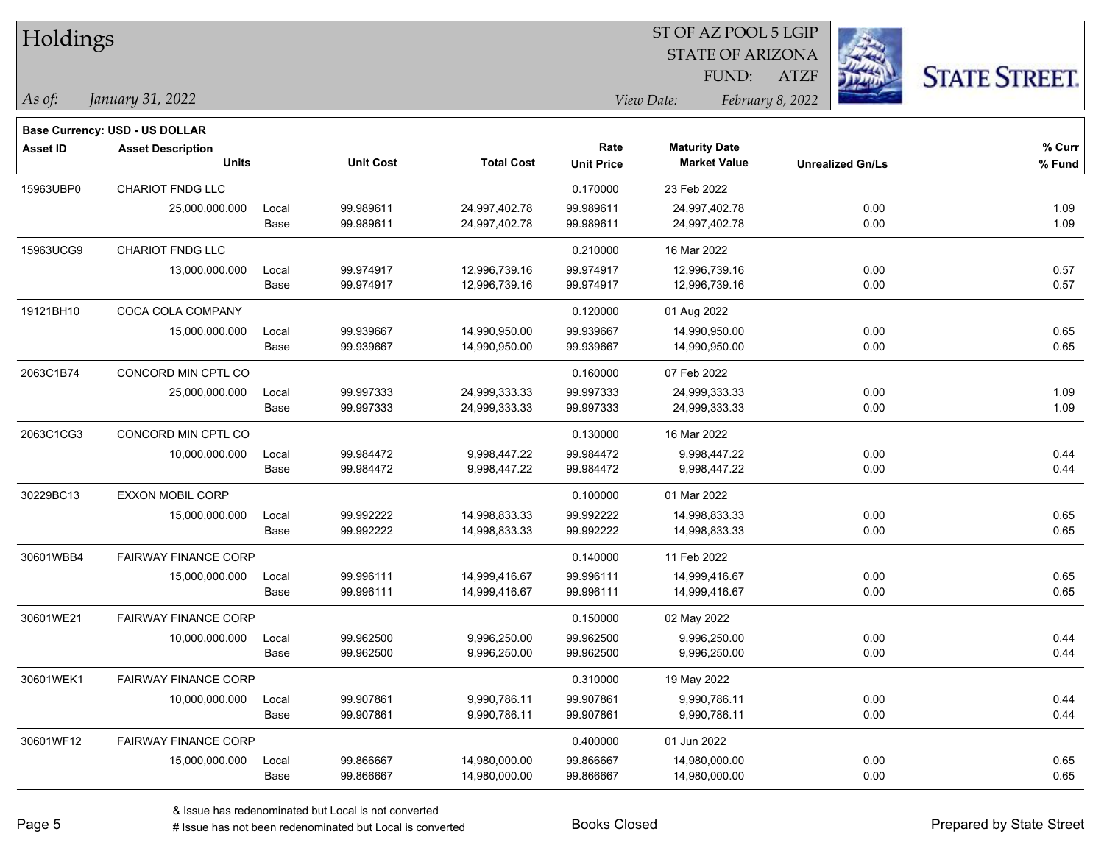| Holdings        |                                       |       |                  | ST OF AZ POOL 5 LGIP |                   |                         |                         |                      |  |  |
|-----------------|---------------------------------------|-------|------------------|----------------------|-------------------|-------------------------|-------------------------|----------------------|--|--|
|                 |                                       |       |                  |                      |                   | <b>STATE OF ARIZONA</b> |                         |                      |  |  |
|                 |                                       |       |                  |                      |                   | FUND:                   | <b>ATZF</b>             | <b>STATE STREET.</b> |  |  |
| As of:          | January 31, 2022                      |       |                  |                      |                   | View Date:              | February 8, 2022        |                      |  |  |
|                 | <b>Base Currency: USD - US DOLLAR</b> |       |                  |                      |                   |                         |                         |                      |  |  |
| <b>Asset ID</b> | <b>Asset Description</b>              |       |                  |                      | Rate              | <b>Maturity Date</b>    |                         | % Curr               |  |  |
|                 | <b>Units</b>                          |       | <b>Unit Cost</b> | <b>Total Cost</b>    | <b>Unit Price</b> | <b>Market Value</b>     | <b>Unrealized Gn/Ls</b> | % Fund               |  |  |
| 15963UBP0       | CHARIOT FNDG LLC                      |       |                  |                      | 0.170000          | 23 Feb 2022             |                         |                      |  |  |
|                 | 25,000,000.000                        | Local | 99.989611        | 24,997,402.78        | 99.989611         | 24,997,402.78           | 0.00                    | 1.09                 |  |  |
|                 |                                       | Base  | 99.989611        | 24,997,402.78        | 99.989611         | 24,997,402.78           | 0.00                    | 1.09                 |  |  |
| 15963UCG9       | CHARIOT FNDG LLC                      |       |                  |                      | 0.210000          | 16 Mar 2022             |                         |                      |  |  |
|                 | 13,000,000.000                        | Local | 99.974917        | 12,996,739.16        | 99.974917         | 12,996,739.16           | 0.00                    | 0.57                 |  |  |
|                 |                                       | Base  | 99.974917        | 12,996,739.16        | 99.974917         | 12,996,739.16           | 0.00                    | 0.57                 |  |  |
| 19121BH10       | COCA COLA COMPANY                     |       |                  |                      | 0.120000          | 01 Aug 2022             |                         |                      |  |  |
|                 | 15,000,000.000                        | Local | 99.939667        | 14,990,950.00        | 99.939667         | 14,990,950.00           | 0.00                    | 0.65                 |  |  |
|                 |                                       | Base  | 99.939667        | 14,990,950.00        | 99.939667         | 14,990,950.00           | 0.00                    | 0.65                 |  |  |
| 2063C1B74       | CONCORD MIN CPTL CO                   |       |                  |                      | 0.160000          | 07 Feb 2022             |                         |                      |  |  |
|                 | 25,000,000.000                        | Local | 99.997333        | 24,999,333.33        | 99.997333         | 24,999,333.33           | 0.00                    | 1.09                 |  |  |
|                 |                                       | Base  | 99.997333        | 24,999,333.33        | 99.997333         | 24,999,333.33           | 0.00                    | 1.09                 |  |  |
| 2063C1CG3       | CONCORD MIN CPTL CO                   |       |                  |                      | 0.130000          | 16 Mar 2022             |                         |                      |  |  |
|                 | 10,000,000.000                        | Local | 99.984472        | 9,998,447.22         | 99.984472         | 9,998,447.22            | 0.00                    | 0.44                 |  |  |
|                 |                                       | Base  | 99.984472        | 9,998,447.22         | 99.984472         | 9,998,447.22            | 0.00                    | 0.44                 |  |  |
| 30229BC13       | <b>EXXON MOBIL CORP</b>               |       |                  |                      | 0.100000          | 01 Mar 2022             |                         |                      |  |  |
|                 | 15,000,000.000                        | Local | 99.992222        | 14,998,833.33        | 99.992222         | 14,998,833.33           | 0.00                    | 0.65                 |  |  |
|                 |                                       | Base  | 99.992222        | 14,998,833.33        | 99.992222         | 14,998,833.33           | 0.00                    | 0.65                 |  |  |
| 30601WBB4       | <b>FAIRWAY FINANCE CORP</b>           |       |                  |                      | 0.140000          | 11 Feb 2022             |                         |                      |  |  |
|                 | 15,000,000.000                        | Local | 99.996111        | 14,999,416.67        | 99.996111         | 14,999,416.67           | 0.00                    | 0.65                 |  |  |
|                 |                                       | Base  | 99.996111        | 14,999,416.67        | 99.996111         | 14,999,416.67           | 0.00                    | 0.65                 |  |  |
| 30601WE21       | FAIRWAY FINANCE CORP                  |       |                  |                      | 0.150000          | 02 May 2022             |                         |                      |  |  |
|                 | 10,000,000.000                        | Local | 99.962500        | 9,996,250.00         | 99.962500         | 9,996,250.00            | 0.00                    | 0.44                 |  |  |
|                 |                                       | Base  | 99.962500        | 9,996,250.00         | 99.962500         | 9,996,250.00            | 0.00                    | 0.44                 |  |  |
| 30601WEK1       | <b>FAIRWAY FINANCE CORP</b>           |       |                  |                      | 0.310000          | 19 May 2022             |                         |                      |  |  |
|                 | 10,000,000.000                        | Local | 99.907861        | 9,990,786.11         | 99.907861         | 9,990,786.11            | 0.00                    | 0.44                 |  |  |
|                 |                                       | Base  | 99.907861        | 9,990,786.11         | 99.907861         | 9,990,786.11            | 0.00                    | 0.44                 |  |  |
| 30601WF12       | <b>FAIRWAY FINANCE CORP</b>           |       |                  |                      | 0.400000          | 01 Jun 2022             |                         |                      |  |  |
|                 | 15,000,000.000                        | Local | 99.866667        | 14,980,000.00        | 99.866667         | 14,980,000.00           | 0.00                    | 0.65                 |  |  |
|                 |                                       | Base  | 99.866667        | 14,980,000.00        | 99.866667         | 14,980,000.00           | 0.00                    | 0.65                 |  |  |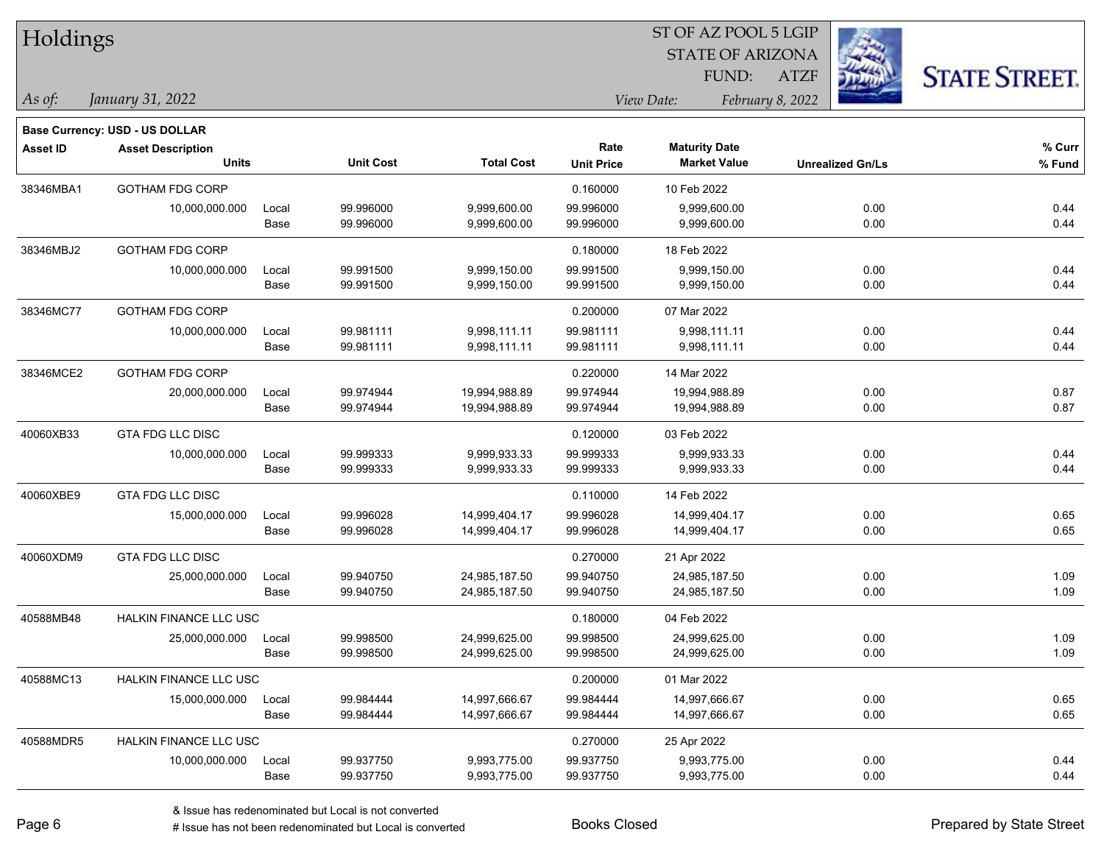| <b>Holdings</b> |                                       |       |                  |                   | 51 OF AZ POOL 5 LGIP<br><b>STATE OF ARIZONA</b> |                      |                         |                      |  |  |
|-----------------|---------------------------------------|-------|------------------|-------------------|-------------------------------------------------|----------------------|-------------------------|----------------------|--|--|
|                 |                                       |       |                  |                   |                                                 |                      |                         |                      |  |  |
|                 |                                       |       |                  |                   |                                                 | FUND:                | <b>ATZF</b>             | <b>STATE STREET.</b> |  |  |
| As of:          | January 31, 2022                      |       |                  |                   | View Date:                                      |                      |                         |                      |  |  |
|                 | <b>Base Currency: USD - US DOLLAR</b> |       |                  |                   |                                                 |                      |                         |                      |  |  |
| <b>Asset ID</b> | <b>Asset Description</b>              |       |                  |                   | Rate                                            | <b>Maturity Date</b> |                         | % Curr               |  |  |
|                 | <b>Units</b>                          |       | <b>Unit Cost</b> | <b>Total Cost</b> | <b>Unit Price</b>                               | <b>Market Value</b>  | <b>Unrealized Gn/Ls</b> | % Fund               |  |  |
| 38346MBA1       | <b>GOTHAM FDG CORP</b>                |       |                  |                   | 0.160000                                        | 10 Feb 2022          |                         |                      |  |  |
|                 | 10,000,000.000                        | Local | 99.996000        | 9,999,600.00      | 99.996000                                       | 9,999,600.00         | 0.00                    | 0.44                 |  |  |
|                 |                                       | Base  | 99.996000        | 9,999,600.00      | 99.996000                                       | 9,999,600.00         | 0.00                    | 0.44                 |  |  |
| 38346MBJ2       | <b>GOTHAM FDG CORP</b>                |       |                  |                   | 0.180000                                        | 18 Feb 2022          |                         |                      |  |  |
|                 | 10,000,000.000                        | Local | 99.991500        | 9,999,150.00      | 99.991500                                       | 9,999,150.00         | 0.00                    | 0.44                 |  |  |
|                 |                                       | Base  | 99.991500        | 9,999,150.00      | 99.991500                                       | 9,999,150.00         | 0.00                    | 0.44                 |  |  |
| 38346MC77       | <b>GOTHAM FDG CORP</b>                |       |                  |                   | 0.200000                                        | 07 Mar 2022          |                         |                      |  |  |
|                 | 10,000,000.000                        | Local | 99.981111        | 9,998,111.11      | 99.981111                                       | 9,998,111.11         | 0.00                    | 0.44                 |  |  |
|                 |                                       | Base  | 99.981111        | 9,998,111.11      | 99.981111                                       | 9,998,111.11         | 0.00                    | 0.44                 |  |  |
| 38346MCE2       | <b>GOTHAM FDG CORP</b>                |       |                  |                   | 0.220000                                        | 14 Mar 2022          |                         |                      |  |  |
|                 | 20,000,000.000                        | Local | 99.974944        | 19,994,988.89     | 99.974944                                       | 19,994,988.89        | 0.00                    | 0.87                 |  |  |
|                 |                                       | Base  | 99.974944        | 19,994,988.89     | 99.974944                                       | 19,994,988.89        | 0.00                    | 0.87                 |  |  |
| 40060XB33       | <b>GTA FDG LLC DISC</b>               |       |                  |                   | 0.120000                                        | 03 Feb 2022          |                         |                      |  |  |
|                 | 10,000,000.000                        | Local | 99.999333        | 9,999,933.33      | 99.999333                                       | 9,999,933.33         | 0.00                    | 0.44                 |  |  |
|                 |                                       | Base  | 99.999333        | 9,999,933.33      | 99.999333                                       | 9,999,933.33         | 0.00                    | 0.44                 |  |  |
| 40060XBE9       | GTA FDG LLC DISC                      |       |                  |                   | 0.110000                                        | 14 Feb 2022          |                         |                      |  |  |
|                 | 15,000,000.000                        | Local | 99.996028        | 14,999,404.17     | 99.996028                                       | 14,999,404.17        | 0.00                    | 0.65                 |  |  |
|                 |                                       | Base  | 99.996028        | 14,999,404.17     | 99.996028                                       | 14,999,404.17        | 0.00                    | 0.65                 |  |  |
| 40060XDM9       | <b>GTA FDG LLC DISC</b>               |       |                  |                   | 0.270000                                        | 21 Apr 2022          |                         |                      |  |  |
|                 | 25,000,000.000                        | Local | 99.940750        | 24,985,187.50     | 99.940750                                       | 24,985,187.50        | 0.00                    | 1.09                 |  |  |
|                 |                                       | Base  | 99.940750        | 24,985,187.50     | 99.940750                                       | 24,985,187.50        | 0.00                    | 1.09                 |  |  |
| 40588MB48       | HALKIN FINANCE LLC USC                |       |                  |                   | 0.180000                                        | 04 Feb 2022          |                         |                      |  |  |
|                 | 25,000,000.000                        | Local | 99.998500        | 24,999,625.00     | 99.998500                                       | 24,999,625.00        | 0.00                    | 1.09                 |  |  |
|                 |                                       | Base  | 99.998500        | 24,999,625.00     | 99.998500                                       | 24,999,625.00        | 0.00                    | 1.09                 |  |  |
| 40588MC13       | HALKIN FINANCE LLC USC                |       |                  |                   | 0.200000                                        | 01 Mar 2022          |                         |                      |  |  |
|                 | 15,000,000.000                        | Local | 99.984444        | 14,997,666.67     | 99.984444                                       | 14,997,666.67        | 0.00                    | 0.65                 |  |  |
|                 |                                       | Base  | 99.984444        | 14,997,666.67     | 99.984444                                       | 14,997,666.67        | 0.00                    | 0.65                 |  |  |
| 40588MDR5       | HALKIN FINANCE LLC USC                |       |                  |                   | 0.270000                                        | 25 Apr 2022          |                         |                      |  |  |
|                 | 10,000,000.000                        | Local | 99.937750        | 9,993,775.00      | 99.937750                                       | 9,993,775.00         | 0.00                    | 0.44                 |  |  |
|                 |                                       | Base  | 99.937750        | 9,993,775.00      | 99.937750                                       | 9,993,775.00         | 0.00                    | 0.44                 |  |  |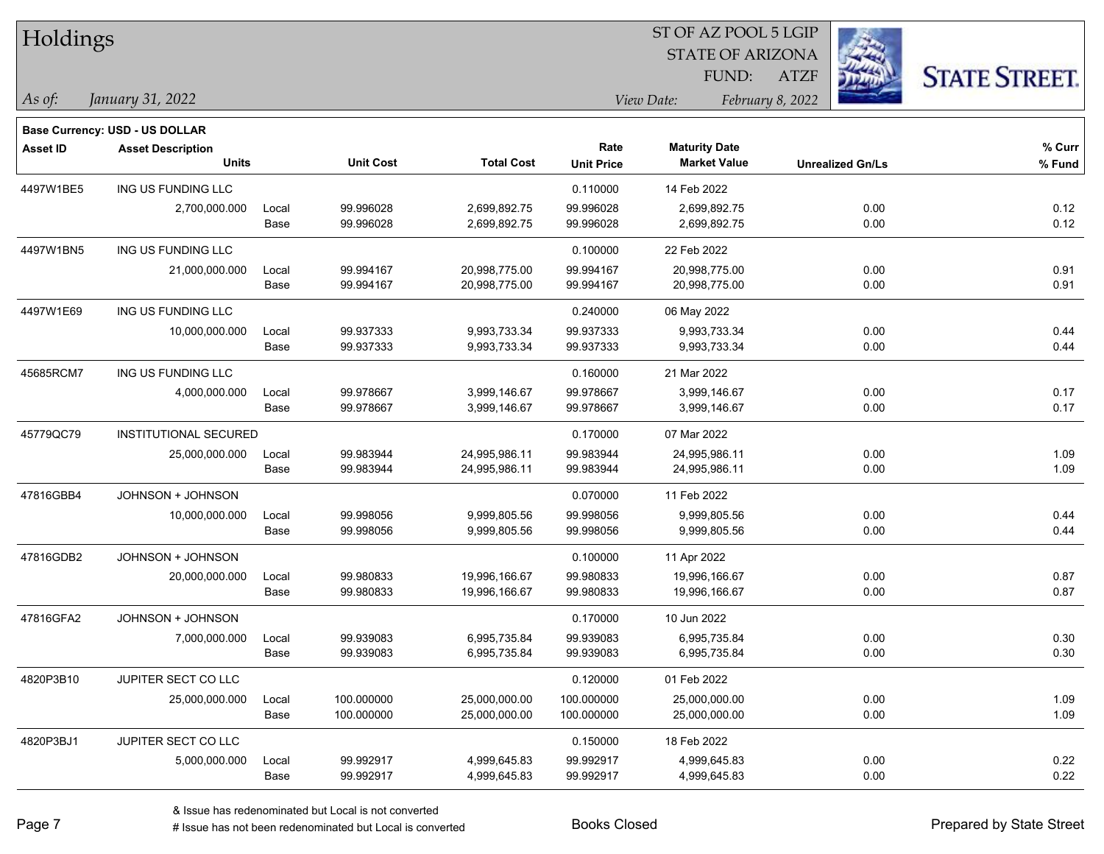| Holdings        |                                       |       |                  | ST OF AZ POOL 5 LGIP |                   |                         |                         |                      |  |  |
|-----------------|---------------------------------------|-------|------------------|----------------------|-------------------|-------------------------|-------------------------|----------------------|--|--|
|                 |                                       |       |                  |                      |                   | <b>STATE OF ARIZONA</b> |                         |                      |  |  |
|                 |                                       |       |                  |                      |                   | FUND:                   | <b>ATZF</b>             | <b>STATE STREET.</b> |  |  |
| As of:          | January 31, 2022                      |       |                  |                      |                   | View Date:              | February 8, 2022        |                      |  |  |
|                 | <b>Base Currency: USD - US DOLLAR</b> |       |                  |                      |                   |                         |                         |                      |  |  |
| <b>Asset ID</b> | <b>Asset Description</b>              |       |                  |                      | Rate              | <b>Maturity Date</b>    |                         | % Curr               |  |  |
|                 | <b>Units</b>                          |       | <b>Unit Cost</b> | <b>Total Cost</b>    | <b>Unit Price</b> | <b>Market Value</b>     | <b>Unrealized Gn/Ls</b> | % Fund               |  |  |
| 4497W1BE5       | ING US FUNDING LLC                    |       |                  |                      | 0.110000          | 14 Feb 2022             |                         |                      |  |  |
|                 | 2,700,000.000                         | Local | 99.996028        | 2,699,892.75         | 99.996028         | 2,699,892.75            | 0.00                    | 0.12                 |  |  |
|                 |                                       | Base  | 99.996028        | 2,699,892.75         | 99.996028         | 2,699,892.75            | 0.00                    | 0.12                 |  |  |
| 4497W1BN5       | ING US FUNDING LLC                    |       |                  |                      | 0.100000          | 22 Feb 2022             |                         |                      |  |  |
|                 | 21,000,000.000                        | Local | 99.994167        | 20,998,775.00        | 99.994167         | 20,998,775.00           | 0.00                    | 0.91                 |  |  |
|                 |                                       | Base  | 99.994167        | 20,998,775.00        | 99.994167         | 20,998,775.00           | 0.00                    | 0.91                 |  |  |
| 4497W1E69       | ING US FUNDING LLC                    |       |                  |                      | 0.240000          | 06 May 2022             |                         |                      |  |  |
|                 | 10,000,000.000                        | Local | 99.937333        | 9,993,733.34         | 99.937333         | 9,993,733.34            | 0.00                    | 0.44                 |  |  |
|                 |                                       | Base  | 99.937333        | 9,993,733.34         | 99.937333         | 9,993,733.34            | 0.00                    | 0.44                 |  |  |
| 45685RCM7       | ING US FUNDING LLC                    |       |                  |                      | 0.160000          | 21 Mar 2022             |                         |                      |  |  |
|                 | 4,000,000.000                         | Local | 99.978667        | 3,999,146.67         | 99.978667         | 3,999,146.67            | 0.00                    | 0.17                 |  |  |
|                 |                                       | Base  | 99.978667        | 3,999,146.67         | 99.978667         | 3,999,146.67            | 0.00                    | 0.17                 |  |  |
| 45779QC79       | INSTITUTIONAL SECURED                 |       |                  |                      | 0.170000          | 07 Mar 2022             |                         |                      |  |  |
|                 | 25,000,000.000                        | Local | 99.983944        | 24,995,986.11        | 99.983944         | 24,995,986.11           | 0.00                    | 1.09                 |  |  |
|                 |                                       | Base  | 99.983944        | 24,995,986.11        | 99.983944         | 24,995,986.11           | 0.00                    | 1.09                 |  |  |
| 47816GBB4       | JOHNSON + JOHNSON                     |       |                  |                      | 0.070000          | 11 Feb 2022             |                         |                      |  |  |
|                 | 10,000,000.000                        | Local | 99.998056        | 9,999,805.56         | 99.998056         | 9,999,805.56            | 0.00                    | 0.44                 |  |  |
|                 |                                       | Base  | 99.998056        | 9,999,805.56         | 99.998056         | 9,999,805.56            | 0.00                    | 0.44                 |  |  |
| 47816GDB2       | JOHNSON + JOHNSON                     |       |                  |                      | 0.100000          | 11 Apr 2022             |                         |                      |  |  |
|                 | 20,000,000.000                        | Local | 99.980833        | 19,996,166.67        | 99.980833         | 19,996,166.67           | 0.00                    | 0.87                 |  |  |
|                 |                                       | Base  | 99.980833        | 19,996,166.67        | 99.980833         | 19,996,166.67           | 0.00                    | 0.87                 |  |  |
| 47816GFA2       | JOHNSON + JOHNSON                     |       |                  |                      | 0.170000          | 10 Jun 2022             |                         |                      |  |  |
|                 | 7,000,000.000                         | Local | 99.939083        | 6,995,735.84         | 99.939083         | 6,995,735.84            | 0.00                    | 0.30                 |  |  |
|                 |                                       | Base  | 99.939083        | 6,995,735.84         | 99.939083         | 6,995,735.84            | 0.00                    | 0.30                 |  |  |
| 4820P3B10       | JUPITER SECT CO LLC                   |       |                  |                      | 0.120000          | 01 Feb 2022             |                         |                      |  |  |
|                 | 25,000,000.000                        | Local | 100.000000       | 25,000,000.00        | 100.000000        | 25,000,000.00           | 0.00                    | 1.09                 |  |  |
|                 |                                       | Base  | 100.000000       | 25,000,000.00        | 100.000000        | 25,000,000.00           | 0.00                    | 1.09                 |  |  |
| 4820P3BJ1       | JUPITER SECT CO LLC                   |       |                  |                      | 0.150000          | 18 Feb 2022             |                         |                      |  |  |
|                 | 5,000,000.000                         | Local | 99.992917        | 4,999,645.83         | 99.992917         | 4,999,645.83            | 0.00                    | 0.22                 |  |  |
|                 |                                       | Base  | 99.992917        | 4,999,645.83         | 99.992917         | 4,999,645.83            | 0.00                    | 0.22                 |  |  |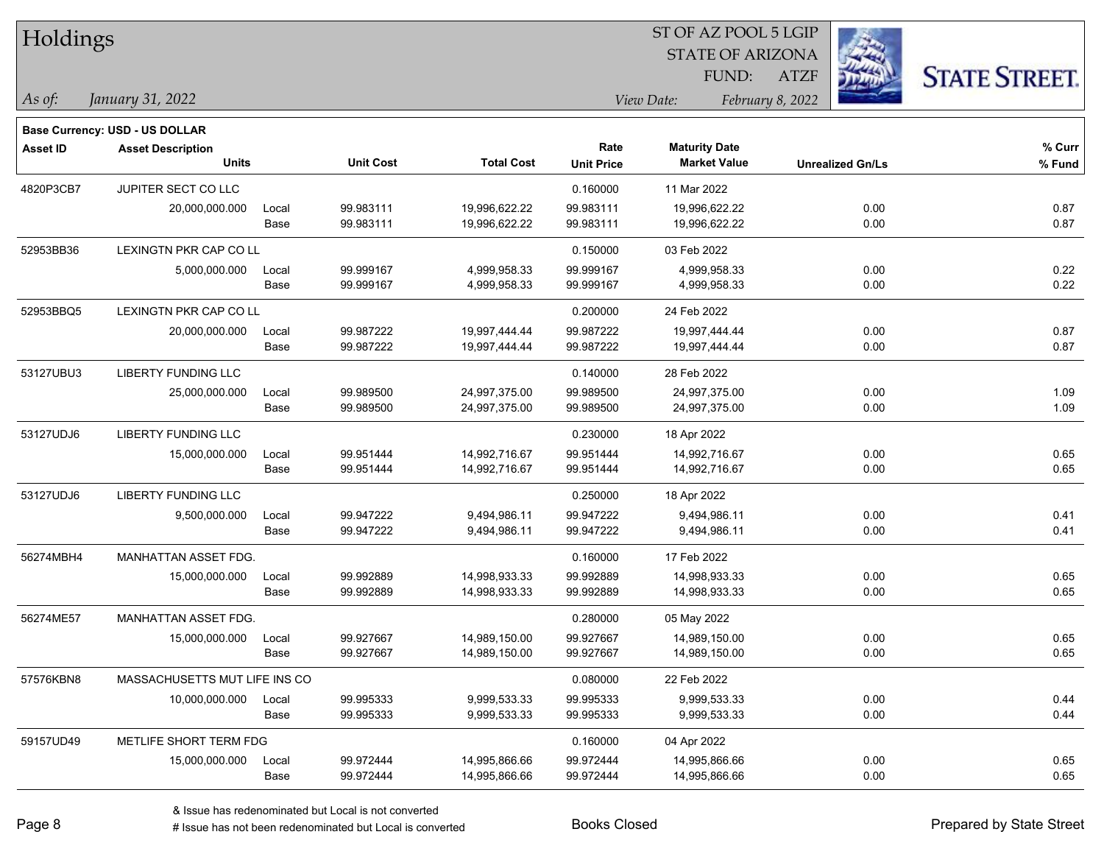| Holdings        |                                       |       |                  |                   |                   | ST OF AZ POOL 5 LGIP    |                         |      |                      |
|-----------------|---------------------------------------|-------|------------------|-------------------|-------------------|-------------------------|-------------------------|------|----------------------|
|                 |                                       |       |                  |                   |                   | <b>STATE OF ARIZONA</b> |                         |      |                      |
|                 |                                       |       |                  |                   |                   | FUND:                   | <b>ATZF</b>             |      | <b>STATE STREET.</b> |
| As of:          | January 31, 2022                      |       |                  |                   |                   | View Date:              | February 8, 2022        |      |                      |
|                 | <b>Base Currency: USD - US DOLLAR</b> |       |                  |                   |                   |                         |                         |      |                      |
| <b>Asset ID</b> | <b>Asset Description</b>              |       |                  |                   | Rate              | <b>Maturity Date</b>    |                         |      | % Curr               |
|                 | <b>Units</b>                          |       | <b>Unit Cost</b> | <b>Total Cost</b> | <b>Unit Price</b> | <b>Market Value</b>     | <b>Unrealized Gn/Ls</b> |      | % Fund               |
| 4820P3CB7       | JUPITER SECT CO LLC                   |       |                  |                   | 0.160000          | 11 Mar 2022             |                         |      |                      |
|                 | 20,000,000.000                        | Local | 99.983111        | 19,996,622.22     | 99.983111         | 19,996,622.22           |                         | 0.00 | 0.87                 |
|                 |                                       | Base  | 99.983111        | 19,996,622.22     | 99.983111         | 19,996,622.22           |                         | 0.00 | 0.87                 |
| 52953BB36       | LEXINGTN PKR CAP CO LL                |       |                  |                   | 0.150000          | 03 Feb 2022             |                         |      |                      |
|                 | 5,000,000.000                         | Local | 99.999167        | 4,999,958.33      | 99.999167         | 4,999,958.33            |                         | 0.00 | 0.22                 |
|                 |                                       | Base  | 99.999167        | 4,999,958.33      | 99.999167         | 4,999,958.33            |                         | 0.00 | 0.22                 |
| 52953BBQ5       | LEXINGTN PKR CAP CO LL                |       |                  |                   | 0.200000          | 24 Feb 2022             |                         |      |                      |
|                 | 20,000,000.000                        | Local | 99.987222        | 19,997,444.44     | 99.987222         | 19,997,444.44           |                         | 0.00 | 0.87                 |
|                 |                                       | Base  | 99.987222        | 19,997,444.44     | 99.987222         | 19,997,444.44           |                         | 0.00 | 0.87                 |
| 53127UBU3       | LIBERTY FUNDING LLC                   |       |                  |                   | 0.140000          | 28 Feb 2022             |                         |      |                      |
|                 | 25,000,000.000                        | Local | 99.989500        | 24,997,375.00     | 99.989500         | 24,997,375.00           |                         | 0.00 | 1.09                 |
|                 |                                       | Base  | 99.989500        | 24,997,375.00     | 99.989500         | 24,997,375.00           |                         | 0.00 | 1.09                 |
| 53127UDJ6       | <b>LIBERTY FUNDING LLC</b>            |       |                  |                   | 0.230000          | 18 Apr 2022             |                         |      |                      |
|                 | 15,000,000.000                        | Local | 99.951444        | 14,992,716.67     | 99.951444         | 14,992,716.67           |                         | 0.00 | 0.65                 |
|                 |                                       | Base  | 99.951444        | 14,992,716.67     | 99.951444         | 14,992,716.67           |                         | 0.00 | 0.65                 |
| 53127UDJ6       | <b>LIBERTY FUNDING LLC</b>            |       |                  |                   | 0.250000          | 18 Apr 2022             |                         |      |                      |
|                 | 9,500,000.000                         | Local | 99.947222        | 9,494,986.11      | 99.947222         | 9,494,986.11            |                         | 0.00 | 0.41                 |
|                 |                                       | Base  | 99.947222        | 9,494,986.11      | 99.947222         | 9,494,986.11            |                         | 0.00 | 0.41                 |
| 56274MBH4       | MANHATTAN ASSET FDG.                  |       |                  |                   | 0.160000          | 17 Feb 2022             |                         |      |                      |
|                 | 15,000,000.000                        | Local | 99.992889        | 14,998,933.33     | 99.992889         | 14,998,933.33           |                         | 0.00 | 0.65                 |
|                 |                                       | Base  | 99.992889        | 14,998,933.33     | 99.992889         | 14,998,933.33           |                         | 0.00 | 0.65                 |
| 56274ME57       | <b>MANHATTAN ASSET FDG.</b>           |       |                  |                   | 0.280000          | 05 May 2022             |                         |      |                      |
|                 | 15,000,000.000                        | Local | 99.927667        | 14,989,150.00     | 99.927667         | 14,989,150.00           |                         | 0.00 | 0.65                 |
|                 |                                       | Base  | 99.927667        | 14,989,150.00     | 99.927667         | 14,989,150.00           |                         | 0.00 | 0.65                 |
| 57576KBN8       | MASSACHUSETTS MUT LIFE INS CO         |       |                  |                   | 0.080000          | 22 Feb 2022             |                         |      |                      |
|                 | 10,000,000.000                        | Local | 99.995333        | 9,999,533.33      | 99.995333         | 9,999,533.33            |                         | 0.00 | 0.44                 |
|                 |                                       | Base  | 99.995333        | 9,999,533.33      | 99.995333         | 9,999,533.33            |                         | 0.00 | 0.44                 |
| 59157UD49       | METLIFE SHORT TERM FDG                |       |                  |                   | 0.160000          | 04 Apr 2022             |                         |      |                      |
|                 | 15,000,000.000                        | Local | 99.972444        | 14,995,866.66     | 99.972444         | 14,995,866.66           |                         | 0.00 | 0.65                 |
|                 |                                       | Base  | 99.972444        | 14,995,866.66     | 99.972444         | 14,995,866.66           |                         | 0.00 | 0.65                 |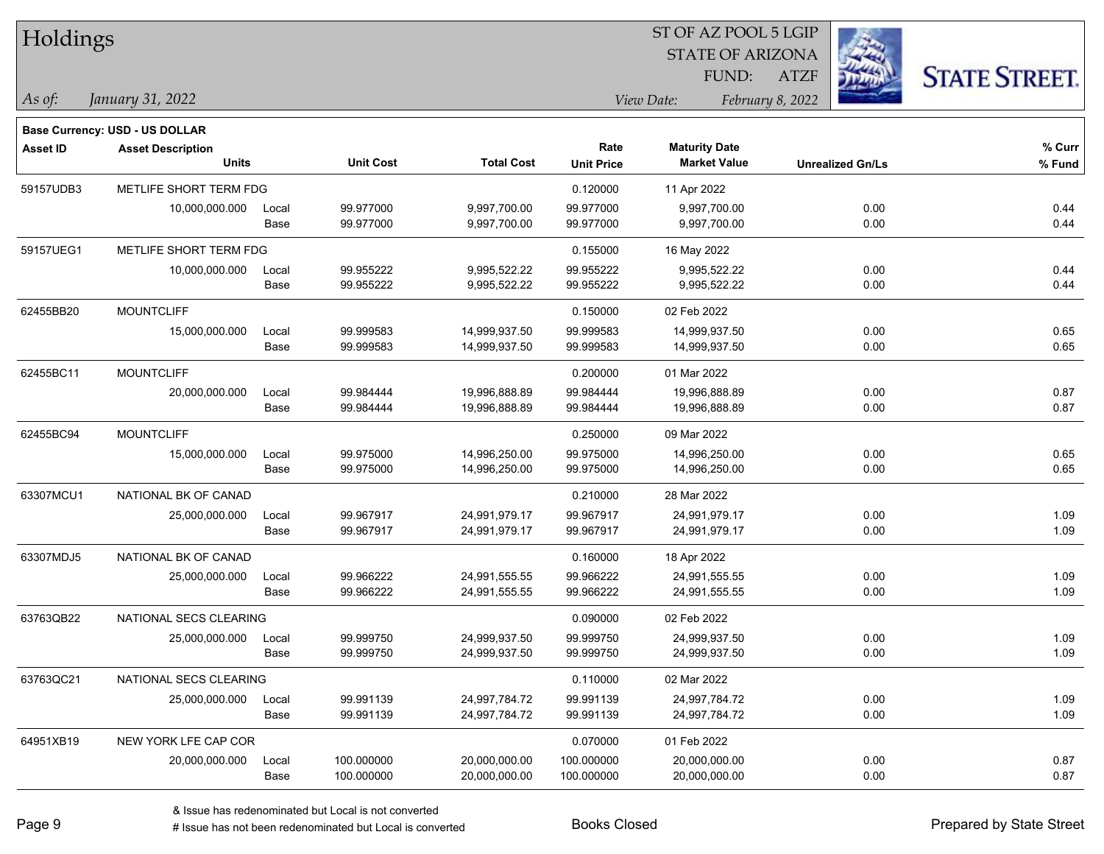| Holdings        |                                       |       |                  |                   |                   | ST OF AZ POOL 5 LGIP    |                         |                      |
|-----------------|---------------------------------------|-------|------------------|-------------------|-------------------|-------------------------|-------------------------|----------------------|
|                 |                                       |       |                  |                   |                   | <b>STATE OF ARIZONA</b> |                         |                      |
|                 |                                       |       |                  |                   |                   | FUND:                   | <b>ATZF</b>             | <b>STATE STREET.</b> |
| As of:          | January 31, 2022                      |       |                  |                   |                   | View Date:              | February 8, 2022        |                      |
|                 | <b>Base Currency: USD - US DOLLAR</b> |       |                  |                   |                   |                         |                         |                      |
| <b>Asset ID</b> | <b>Asset Description</b>              |       |                  |                   | Rate              | <b>Maturity Date</b>    |                         | % Curr               |
|                 | <b>Units</b>                          |       | <b>Unit Cost</b> | <b>Total Cost</b> | <b>Unit Price</b> | <b>Market Value</b>     | <b>Unrealized Gn/Ls</b> | % Fund               |
| 59157UDB3       | METLIFE SHORT TERM FDG                |       |                  |                   | 0.120000          | 11 Apr 2022             |                         |                      |
|                 | 10,000,000.000                        | Local | 99.977000        | 9,997,700.00      | 99.977000         | 9,997,700.00            | 0.00                    | 0.44                 |
|                 |                                       | Base  | 99.977000        | 9,997,700.00      | 99.977000         | 9,997,700.00            | 0.00                    | 0.44                 |
| 59157UEG1       | METLIFE SHORT TERM FDG                |       |                  |                   | 0.155000          | 16 May 2022             |                         |                      |
|                 | 10,000,000.000                        | Local | 99.955222        | 9,995,522.22      | 99.955222         | 9,995,522.22            | 0.00                    | 0.44                 |
|                 |                                       | Base  | 99.955222        | 9,995,522.22      | 99.955222         | 9,995,522.22            | 0.00                    | 0.44                 |
| 62455BB20       | <b>MOUNTCLIFF</b>                     |       |                  |                   | 0.150000          | 02 Feb 2022             |                         |                      |
|                 | 15,000,000.000                        | Local | 99.999583        | 14,999,937.50     | 99.999583         | 14,999,937.50           | 0.00                    | 0.65                 |
|                 |                                       | Base  | 99.999583        | 14,999,937.50     | 99.999583         | 14,999,937.50           | 0.00                    | 0.65                 |
| 62455BC11       | <b>MOUNTCLIFF</b>                     |       |                  |                   | 0.200000          | 01 Mar 2022             |                         |                      |
|                 | 20,000,000.000                        | Local | 99.984444        | 19,996,888.89     | 99.984444         | 19,996,888.89           | 0.00                    | 0.87                 |
|                 |                                       | Base  | 99.984444        | 19,996,888.89     | 99.984444         | 19,996,888.89           | 0.00                    | 0.87                 |
| 62455BC94       | <b>MOUNTCLIFF</b>                     |       |                  |                   | 0.250000          | 09 Mar 2022             |                         |                      |
|                 | 15,000,000.000                        | Local | 99.975000        | 14,996,250.00     | 99.975000         | 14,996,250.00           | 0.00                    | 0.65                 |
|                 |                                       | Base  | 99.975000        | 14,996,250.00     | 99.975000         | 14,996,250.00           | 0.00                    | 0.65                 |
| 63307MCU1       | NATIONAL BK OF CANAD                  |       |                  |                   | 0.210000          | 28 Mar 2022             |                         |                      |
|                 | 25,000,000.000                        | Local | 99.967917        | 24,991,979.17     | 99.967917         | 24,991,979.17           | 0.00                    | 1.09                 |
|                 |                                       | Base  | 99.967917        | 24,991,979.17     | 99.967917         | 24,991,979.17           | 0.00                    | 1.09                 |
| 63307MDJ5       | NATIONAL BK OF CANAD                  |       |                  |                   | 0.160000          | 18 Apr 2022             |                         |                      |
|                 | 25,000,000.000                        | Local | 99.966222        | 24,991,555.55     | 99.966222         | 24,991,555.55           | 0.00                    | 1.09                 |
|                 |                                       | Base  | 99.966222        | 24,991,555.55     | 99.966222         | 24,991,555.55           | 0.00                    | 1.09                 |
| 63763QB22       | NATIONAL SECS CLEARING                |       |                  |                   | 0.090000          | 02 Feb 2022             |                         |                      |
|                 | 25,000,000.000                        | Local | 99.999750        | 24,999,937.50     | 99.999750         | 24,999,937.50           | 0.00                    | 1.09                 |
|                 |                                       | Base  | 99.999750        | 24,999,937.50     | 99.999750         | 24,999,937.50           | 0.00                    | 1.09                 |
| 63763QC21       | NATIONAL SECS CLEARING                |       |                  |                   | 0.110000          | 02 Mar 2022             |                         |                      |
|                 | 25,000,000.000                        | Local | 99.991139        | 24,997,784.72     | 99.991139         | 24,997,784.72           | 0.00                    | 1.09                 |
|                 |                                       | Base  | 99.991139        | 24,997,784.72     | 99.991139         | 24,997,784.72           | 0.00                    | 1.09                 |
| 64951XB19       | NEW YORK LFE CAP COR                  |       |                  |                   | 0.070000          | 01 Feb 2022             |                         |                      |
|                 | 20,000,000.000                        | Local | 100.000000       | 20,000,000.00     | 100.000000        | 20,000,000.00           | 0.00                    | 0.87                 |
|                 |                                       | Base  | 100.000000       | 20,000,000.00     | 100.000000        | 20,000,000.00           | 0.00                    | 0.87                 |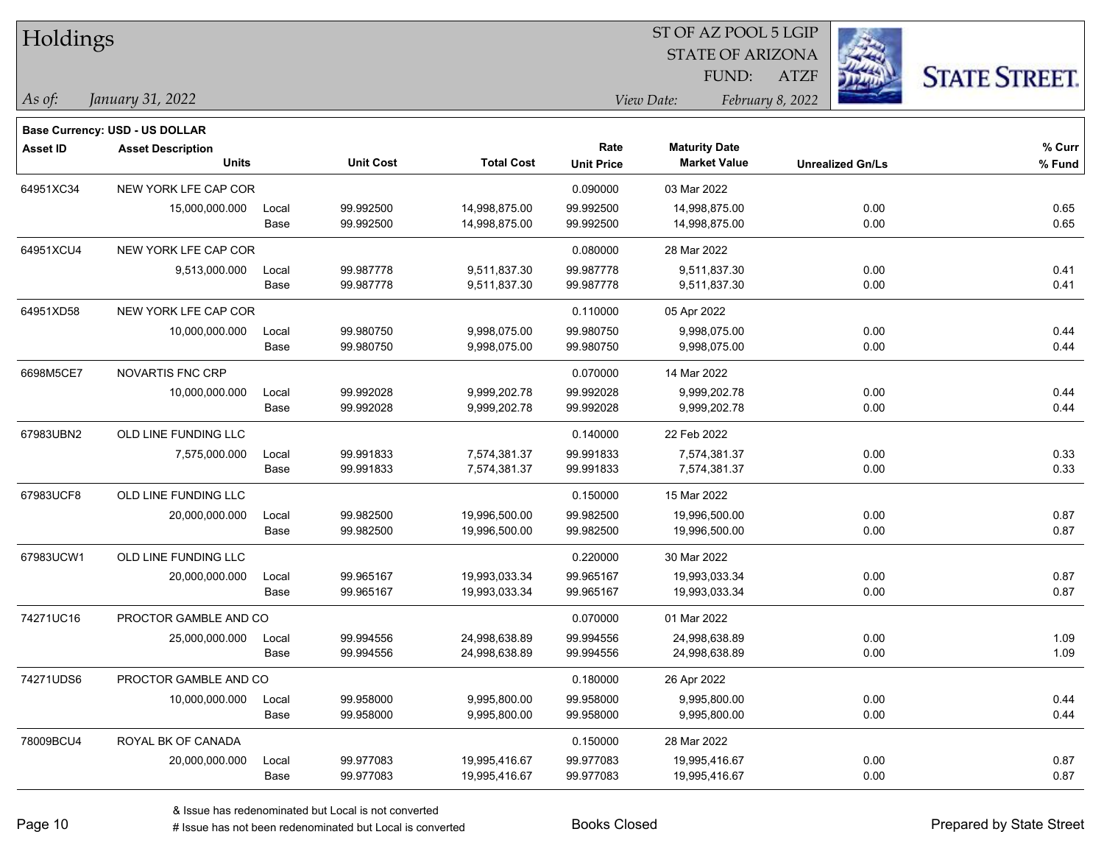| Holdings        |                                       |       |                  |                   | 51 OF AZ POOL 5 LGIP |                         |                         |                     |  |  |
|-----------------|---------------------------------------|-------|------------------|-------------------|----------------------|-------------------------|-------------------------|---------------------|--|--|
|                 |                                       |       |                  |                   |                      | <b>STATE OF ARIZONA</b> | 23                      |                     |  |  |
|                 |                                       |       |                  |                   |                      | FUND:                   | <b>ATZF</b>             | <b>STATE STREET</b> |  |  |
| As of:          | January 31, 2022                      |       |                  |                   |                      | View Date:              | February 8, 2022        |                     |  |  |
|                 | <b>Base Currency: USD - US DOLLAR</b> |       |                  |                   |                      |                         |                         |                     |  |  |
| <b>Asset ID</b> | <b>Asset Description</b>              |       |                  |                   | Rate                 | <b>Maturity Date</b>    |                         | % Curr              |  |  |
|                 | <b>Units</b>                          |       | <b>Unit Cost</b> | <b>Total Cost</b> | <b>Unit Price</b>    | <b>Market Value</b>     | <b>Unrealized Gn/Ls</b> | % Fund              |  |  |
| 64951XC34       | NEW YORK LFE CAP COR                  |       |                  |                   | 0.090000             | 03 Mar 2022             |                         |                     |  |  |
|                 | 15,000,000.000                        | Local | 99.992500        | 14,998,875.00     | 99.992500            | 14,998,875.00           | 0.00                    | 0.65                |  |  |
|                 |                                       | Base  | 99.992500        | 14,998,875.00     | 99.992500            | 14,998,875.00           | 0.00                    | 0.65                |  |  |
| 64951XCU4       | NEW YORK LFE CAP COR                  |       |                  |                   | 0.080000             | 28 Mar 2022             |                         |                     |  |  |
|                 | 9,513,000.000                         | Local | 99.987778        | 9,511,837.30      | 99.987778            | 9,511,837.30            | 0.00                    | 0.41                |  |  |
|                 |                                       | Base  | 99.987778        | 9,511,837.30      | 99.987778            | 9,511,837.30            | 0.00                    | 0.41                |  |  |
| 64951XD58       | NEW YORK LFE CAP COR                  |       |                  |                   | 0.110000             | 05 Apr 2022             |                         |                     |  |  |
|                 | 10,000,000.000                        | Local | 99.980750        | 9,998,075.00      | 99.980750            | 9,998,075.00            | 0.00                    | 0.44                |  |  |
|                 |                                       | Base  | 99.980750        | 9,998,075.00      | 99.980750            | 9,998,075.00            | 0.00                    | 0.44                |  |  |
| 6698M5CE7       | <b>NOVARTIS FNC CRP</b>               |       |                  |                   | 0.070000             | 14 Mar 2022             |                         |                     |  |  |
|                 | 10,000,000.000                        | Local | 99.992028        | 9,999,202.78      | 99.992028            | 9,999,202.78            | 0.00                    | 0.44                |  |  |
|                 |                                       | Base  | 99.992028        | 9,999,202.78      | 99.992028            | 9,999,202.78            | 0.00                    | 0.44                |  |  |
| 67983UBN2       | OLD LINE FUNDING LLC                  |       |                  |                   | 0.140000             | 22 Feb 2022             |                         |                     |  |  |
|                 | 7,575,000.000                         | Local | 99.991833        | 7,574,381.37      | 99.991833            | 7,574,381.37            | 0.00                    | 0.33                |  |  |
|                 |                                       | Base  | 99.991833        | 7,574,381.37      | 99.991833            | 7,574,381.37            | 0.00                    | 0.33                |  |  |
| 67983UCF8       | OLD LINE FUNDING LLC                  |       |                  |                   | 0.150000             | 15 Mar 2022             |                         |                     |  |  |
|                 | 20,000,000.000                        | Local | 99.982500        | 19,996,500.00     | 99.982500            | 19,996,500.00           | 0.00                    | 0.87                |  |  |
|                 |                                       | Base  | 99.982500        | 19,996,500.00     | 99.982500            | 19,996,500.00           | 0.00                    | 0.87                |  |  |
| 67983UCW1       | OLD LINE FUNDING LLC                  |       |                  |                   | 0.220000             | 30 Mar 2022             |                         |                     |  |  |
|                 | 20,000,000.000                        | Local | 99.965167        | 19,993,033.34     | 99.965167            | 19,993,033.34           | 0.00                    | 0.87                |  |  |
|                 |                                       | Base  | 99.965167        | 19,993,033.34     | 99.965167            | 19,993,033.34           | 0.00                    | 0.87                |  |  |
| 74271UC16       | PROCTOR GAMBLE AND CO                 |       |                  |                   | 0.070000             | 01 Mar 2022             |                         |                     |  |  |
|                 | 25,000,000.000                        | Local | 99.994556        | 24,998,638.89     | 99.994556            | 24,998,638.89           | 0.00                    | 1.09                |  |  |
|                 |                                       | Base  | 99.994556        | 24,998,638.89     | 99.994556            | 24,998,638.89           | 0.00                    | 1.09                |  |  |
| 74271UDS6       | PROCTOR GAMBLE AND CO                 |       |                  |                   | 0.180000             | 26 Apr 2022             |                         |                     |  |  |
|                 | 10,000,000.000                        | Local | 99.958000        | 9,995,800.00      | 99.958000            | 9,995,800.00            | 0.00                    | 0.44                |  |  |
|                 |                                       | Base  | 99.958000        | 9,995,800.00      | 99.958000            | 9,995,800.00            | 0.00                    | 0.44                |  |  |
| 78009BCU4       | ROYAL BK OF CANADA                    |       |                  |                   | 0.150000             | 28 Mar 2022             |                         |                     |  |  |
|                 | 20.000.000.000                        | Local | 99.977083        | 19,995,416.67     | 99.977083            | 19,995,416.67           | 0.00                    | 0.87                |  |  |
|                 |                                       | Base  | 99.977083        | 19,995,416.67     | 99.977083            | 19,995,416.67           | 0.00                    | 0.87                |  |  |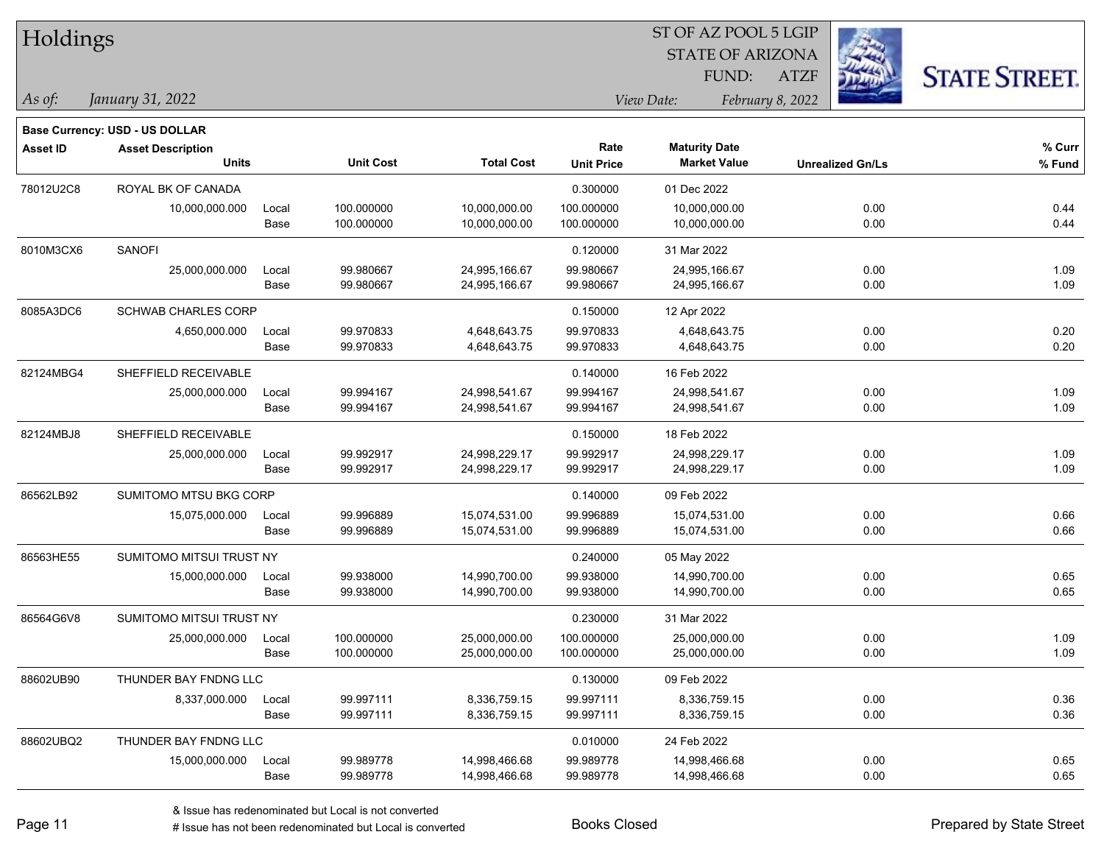| Holdings        |                                          |               |                          |                                |                           |                                             | ST OF AZ POOL 5 LGIP |                         |                      |
|-----------------|------------------------------------------|---------------|--------------------------|--------------------------------|---------------------------|---------------------------------------------|----------------------|-------------------------|----------------------|
|                 |                                          |               |                          |                                |                           | <b>STATE OF ARIZONA</b>                     |                      |                         |                      |
|                 |                                          |               |                          |                                |                           | FUND:                                       | <b>ATZF</b>          |                         | <b>STATE STREET.</b> |
| As of:          | January 31, 2022                         |               |                          |                                |                           | View Date:                                  | February 8, 2022     |                         |                      |
|                 |                                          |               |                          |                                |                           |                                             |                      |                         |                      |
|                 | Base Currency: USD - US DOLLAR           |               |                          |                                |                           |                                             |                      |                         |                      |
| <b>Asset ID</b> | <b>Asset Description</b><br><b>Units</b> |               | <b>Unit Cost</b>         | <b>Total Cost</b>              | Rate<br><b>Unit Price</b> | <b>Maturity Date</b><br><b>Market Value</b> |                      | <b>Unrealized Gn/Ls</b> | % Curr<br>% Fund     |
|                 | ROYAL BK OF CANADA                       |               |                          |                                |                           |                                             |                      |                         |                      |
| 78012U2C8       |                                          |               |                          |                                | 0.300000                  | 01 Dec 2022                                 |                      |                         |                      |
|                 | 10,000,000.000                           | Local<br>Base | 100.000000<br>100.000000 | 10,000,000.00<br>10,000,000.00 | 100.000000<br>100.000000  | 10,000,000.00<br>10,000,000.00              |                      | 0.00<br>0.00            | 0.44<br>0.44         |
|                 |                                          |               |                          |                                |                           |                                             |                      |                         |                      |
| 8010M3CX6       | <b>SANOFI</b>                            |               |                          |                                | 0.120000                  | 31 Mar 2022                                 |                      |                         |                      |
|                 | 25,000,000.000                           | Local<br>Base | 99.980667<br>99.980667   | 24,995,166.67<br>24,995,166.67 | 99.980667<br>99.980667    | 24,995,166.67<br>24,995,166.67              |                      | 0.00<br>0.00            | 1.09<br>1.09         |
|                 |                                          |               |                          |                                |                           |                                             |                      |                         |                      |
| 8085A3DC6       | <b>SCHWAB CHARLES CORP</b>               |               |                          |                                | 0.150000                  | 12 Apr 2022                                 |                      |                         |                      |
|                 | 4,650,000.000                            | Local<br>Base | 99.970833<br>99.970833   | 4,648,643.75<br>4,648,643.75   | 99.970833<br>99.970833    | 4,648,643.75<br>4,648,643.75                |                      | 0.00<br>0.00            | 0.20<br>0.20         |
|                 |                                          |               |                          |                                |                           |                                             |                      |                         |                      |
| 82124MBG4       | SHEFFIELD RECEIVABLE                     |               |                          |                                | 0.140000                  | 16 Feb 2022                                 |                      |                         |                      |
|                 | 25,000,000.000                           | Local         | 99.994167                | 24,998,541.67                  | 99.994167                 | 24,998,541.67                               |                      | 0.00                    | 1.09                 |
|                 |                                          | Base          | 99.994167                | 24,998,541.67                  | 99.994167                 | 24,998,541.67                               |                      | 0.00                    | 1.09                 |
| 82124MBJ8       | SHEFFIELD RECEIVABLE                     |               |                          |                                | 0.150000                  | 18 Feb 2022                                 |                      |                         |                      |
|                 | 25,000,000.000                           | Local         | 99.992917                | 24,998,229.17                  | 99.992917                 | 24,998,229.17                               |                      | 0.00                    | 1.09                 |
|                 |                                          | Base          | 99.992917                | 24,998,229.17                  | 99.992917                 | 24,998,229.17                               |                      | 0.00                    | 1.09                 |
| 86562LB92       | SUMITOMO MTSU BKG CORP                   |               |                          |                                | 0.140000                  | 09 Feb 2022                                 |                      |                         |                      |
|                 | 15,075,000.000                           | Local         | 99.996889                | 15,074,531.00                  | 99.996889                 | 15,074,531.00                               |                      | 0.00                    | 0.66                 |
|                 |                                          | Base          | 99.996889                | 15,074,531.00                  | 99.996889                 | 15,074,531.00                               |                      | 0.00                    | 0.66                 |
| 86563HE55       | SUMITOMO MITSUI TRUST NY                 |               |                          |                                | 0.240000                  | 05 May 2022                                 |                      |                         |                      |
|                 | 15,000,000.000                           | Local         | 99.938000                | 14,990,700.00                  | 99.938000                 | 14,990,700.00                               |                      | 0.00                    | 0.65                 |
|                 |                                          | Base          | 99.938000                | 14,990,700.00                  | 99.938000                 | 14,990,700.00                               |                      | 0.00                    | 0.65                 |
| 86564G6V8       | SUMITOMO MITSUI TRUST NY                 |               |                          |                                | 0.230000                  | 31 Mar 2022                                 |                      |                         |                      |
|                 | 25,000,000.000                           | Local         | 100.000000               | 25,000,000.00                  | 100.000000                | 25,000,000.00                               |                      | 0.00                    | 1.09                 |
|                 |                                          | Base          | 100.000000               | 25,000,000.00                  | 100.000000                | 25,000,000.00                               |                      | 0.00                    | 1.09                 |
| 88602UB90       | THUNDER BAY FNDNG LLC                    |               |                          |                                | 0.130000                  | 09 Feb 2022                                 |                      |                         |                      |
|                 | 8,337,000.000                            | Local         | 99.997111                | 8,336,759.15                   | 99.997111                 | 8,336,759.15                                |                      | 0.00                    | 0.36                 |
|                 |                                          | Base          | 99.997111                | 8,336,759.15                   | 99.997111                 | 8,336,759.15                                |                      | 0.00                    | 0.36                 |
| 88602UBQ2       | THUNDER BAY FNDNG LLC                    |               |                          |                                | 0.010000                  | 24 Feb 2022                                 |                      |                         |                      |
|                 | 15,000,000.000                           | Local         | 99.989778                | 14,998,466.68                  | 99.989778                 | 14,998,466.68                               |                      | 0.00                    | 0.65                 |
|                 |                                          | Base          | 99.989778                | 14,998,466.68                  | 99.989778                 | 14,998,466.68                               |                      | 0.00                    | 0.65                 |

# Issue has not been redenominated but Local is converted Books Closed Prepared by State Street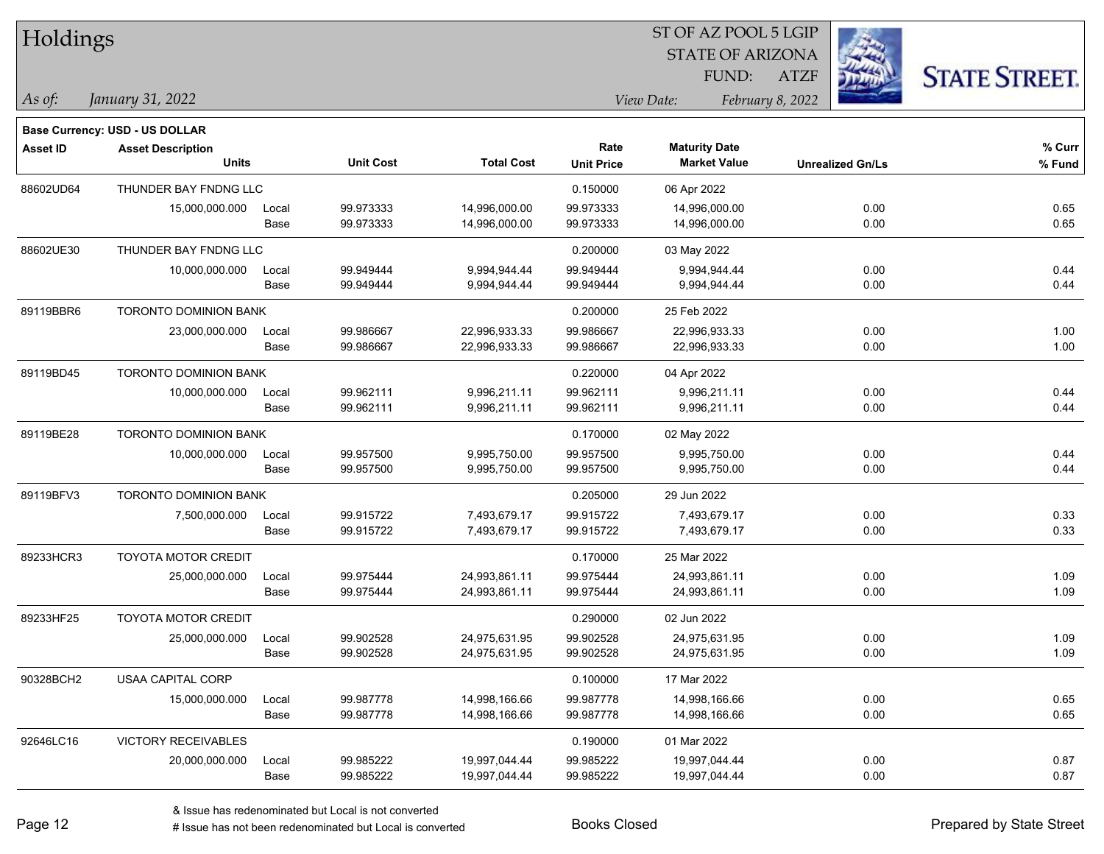| Holdings  |                                       |       |                  |                   | SI OF AZ POOL 5 LGIP |                         |                         |                      |  |  |
|-----------|---------------------------------------|-------|------------------|-------------------|----------------------|-------------------------|-------------------------|----------------------|--|--|
|           |                                       |       |                  |                   |                      | <b>STATE OF ARIZONA</b> | Ź,                      |                      |  |  |
|           |                                       |       |                  |                   |                      | FUND:                   | <b>ATZF</b>             | <b>STATE STREET.</b> |  |  |
|           | January 31, 2022                      |       |                  |                   |                      |                         |                         |                      |  |  |
| As of:    |                                       |       |                  |                   |                      | View Date:              | February 8, 2022        |                      |  |  |
|           | <b>Base Currency: USD - US DOLLAR</b> |       |                  |                   |                      |                         |                         |                      |  |  |
| Asset ID  | <b>Asset Description</b>              |       |                  |                   | Rate                 | <b>Maturity Date</b>    |                         | % Curr               |  |  |
|           | <b>Units</b>                          |       | <b>Unit Cost</b> | <b>Total Cost</b> | <b>Unit Price</b>    | <b>Market Value</b>     | <b>Unrealized Gn/Ls</b> | % Fund               |  |  |
| 88602UD64 | THUNDER BAY FNDNG LLC                 |       |                  |                   | 0.150000             | 06 Apr 2022             |                         |                      |  |  |
|           | 15,000,000.000                        | Local | 99.973333        | 14,996,000.00     | 99.973333            | 14,996,000.00           | 0.00                    | 0.65                 |  |  |
|           |                                       | Base  | 99.973333        | 14,996,000.00     | 99.973333            | 14,996,000.00           | 0.00                    | 0.65                 |  |  |
| 88602UE30 | THUNDER BAY FNDNG LLC                 |       |                  |                   | 0.200000             | 03 May 2022             |                         |                      |  |  |
|           | 10,000,000.000                        | Local | 99.949444        | 9,994,944.44      | 99.949444            | 9,994,944.44            | 0.00                    | 0.44                 |  |  |
|           |                                       | Base  | 99.949444        | 9,994,944.44      | 99.949444            | 9,994,944.44            | 0.00                    | 0.44                 |  |  |
| 89119BBR6 | <b>TORONTO DOMINION BANK</b>          |       |                  |                   | 0.200000             | 25 Feb 2022             |                         |                      |  |  |
|           | 23,000,000.000                        | Local | 99.986667        | 22,996,933.33     | 99.986667            | 22,996,933.33           | 0.00                    | 1.00                 |  |  |
|           |                                       | Base  | 99.986667        | 22,996,933.33     | 99.986667            | 22,996,933.33           | 0.00                    | 1.00                 |  |  |
| 89119BD45 | <b>TORONTO DOMINION BANK</b>          |       |                  |                   | 0.220000             | 04 Apr 2022             |                         |                      |  |  |
|           | 10,000,000.000                        | Local | 99.962111        | 9,996,211.11      | 99.962111            | 9,996,211.11            | 0.00                    | 0.44                 |  |  |
|           |                                       | Base  | 99.962111        | 9,996,211.11      | 99.962111            | 9,996,211.11            | 0.00                    | 0.44                 |  |  |
| 89119BE28 | <b>TORONTO DOMINION BANK</b>          |       |                  |                   | 0.170000             | 02 May 2022             |                         |                      |  |  |
|           | 10,000,000.000                        | Local | 99.957500        | 9,995,750.00      | 99.957500            | 9,995,750.00            | 0.00                    | 0.44                 |  |  |
|           |                                       | Base  | 99.957500        | 9,995,750.00      | 99.957500            | 9,995,750.00            | 0.00                    | 0.44                 |  |  |
| 89119BFV3 | <b>TORONTO DOMINION BANK</b>          |       |                  |                   | 0.205000             | 29 Jun 2022             |                         |                      |  |  |
|           | 7,500,000.000                         | Local | 99.915722        | 7,493,679.17      | 99.915722            | 7,493,679.17            | 0.00                    | 0.33                 |  |  |
|           |                                       | Base  | 99.915722        | 7,493,679.17      | 99.915722            | 7,493,679.17            | 0.00                    | 0.33                 |  |  |
| 89233HCR3 | <b>TOYOTA MOTOR CREDIT</b>            |       |                  |                   | 0.170000             | 25 Mar 2022             |                         |                      |  |  |
|           | 25,000,000.000                        | Local | 99.975444        | 24,993,861.11     | 99.975444            | 24,993,861.11           | 0.00                    | 1.09                 |  |  |
|           |                                       | Base  | 99.975444        | 24,993,861.11     | 99.975444            | 24,993,861.11           | 0.00                    | 1.09                 |  |  |
| 89233HF25 | <b>TOYOTA MOTOR CREDIT</b>            |       |                  |                   | 0.290000             | 02 Jun 2022             |                         |                      |  |  |
|           | 25,000,000.000                        | Local | 99.902528        | 24,975,631.95     | 99.902528            | 24,975,631.95           | 0.00                    | 1.09                 |  |  |
|           |                                       | Base  | 99.902528        | 24,975,631.95     | 99.902528            | 24,975,631.95           | 0.00                    | 1.09                 |  |  |
| 90328BCH2 | USAA CAPITAL CORP                     |       |                  |                   | 0.100000             | 17 Mar 2022             |                         |                      |  |  |
|           | 15,000,000.000                        | Local | 99.987778        | 14,998,166.66     | 99.987778            | 14,998,166.66           | 0.00                    | 0.65                 |  |  |
|           |                                       | Base  | 99.987778        | 14,998,166.66     | 99.987778            | 14,998,166.66           | 0.00                    | 0.65                 |  |  |
| 92646LC16 | <b>VICTORY RECEIVABLES</b>            |       |                  |                   | 0.190000             | 01 Mar 2022             |                         |                      |  |  |
|           | 20,000,000.000                        | Local | 99.985222        | 19,997,044.44     | 99.985222            | 19,997,044.44           | 0.00                    | 0.87                 |  |  |
|           |                                       | Base  | 99.985222        | 19,997,044.44     | 99.985222            | 19,997,044.44           | 0.00                    | 0.87                 |  |  |
|           |                                       |       |                  |                   |                      |                         |                         |                      |  |  |

 $\overline{S}$   $\overline{S}$   $\overline{S}$   $\overline{S}$   $\overline{S}$   $\overline{S}$   $\overline{S}$   $\overline{S}$   $\overline{S}$   $\overline{S}$   $\overline{S}$   $\overline{S}$   $\overline{S}$   $\overline{S}$   $\overline{S}$   $\overline{S}$   $\overline{S}$   $\overline{S}$   $\overline{S}$   $\overline{S}$   $\overline{S}$   $\overline{S}$   $\overline{S}$   $\overline{S}$   $\overline{$ 

٦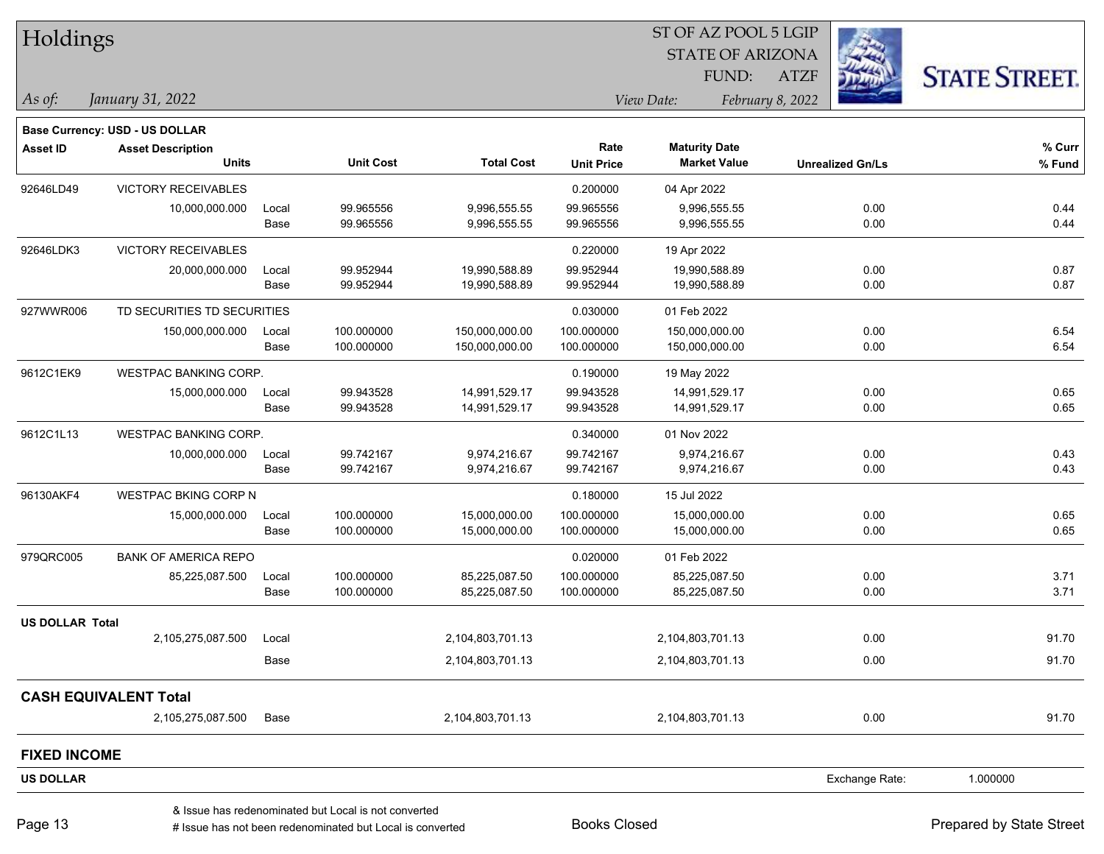|                        | Holdings                       |       |                                                      |                   |                   | ST OF AZ POOL 5 LGIP    |                  |                         |                      |
|------------------------|--------------------------------|-------|------------------------------------------------------|-------------------|-------------------|-------------------------|------------------|-------------------------|----------------------|
|                        |                                |       |                                                      |                   |                   | <b>STATE OF ARIZONA</b> |                  |                         |                      |
|                        |                                |       |                                                      |                   |                   | FUND:                   | <b>ATZF</b>      |                         | <b>STATE STREET.</b> |
| As of:                 | January 31, 2022               |       |                                                      |                   |                   | View Date:              | February 8, 2022 |                         |                      |
|                        | Base Currency: USD - US DOLLAR |       |                                                      |                   |                   |                         |                  |                         |                      |
| <b>Asset ID</b>        | <b>Asset Description</b>       |       |                                                      |                   | Rate              | <b>Maturity Date</b>    |                  |                         | % Curr               |
|                        | <b>Units</b>                   |       | <b>Unit Cost</b>                                     | <b>Total Cost</b> | <b>Unit Price</b> | <b>Market Value</b>     |                  | <b>Unrealized Gn/Ls</b> | % Fund               |
| 92646LD49              | <b>VICTORY RECEIVABLES</b>     |       |                                                      |                   | 0.200000          | 04 Apr 2022             |                  |                         |                      |
|                        | 10,000,000.000                 | Local | 99.965556                                            | 9,996,555.55      | 99.965556         | 9,996,555.55            |                  | 0.00                    | 0.44                 |
|                        |                                | Base  | 99.965556                                            | 9,996,555.55      | 99.965556         | 9,996,555.55            |                  | 0.00                    | 0.44                 |
| 92646LDK3              | VICTORY RECEIVABLES            |       |                                                      |                   | 0.220000          | 19 Apr 2022             |                  |                         |                      |
|                        | 20,000,000.000                 | Local | 99.952944                                            | 19,990,588.89     | 99.952944         | 19,990,588.89           |                  | 0.00                    | 0.87                 |
|                        |                                | Base  | 99.952944                                            | 19,990,588.89     | 99.952944         | 19,990,588.89           |                  | 0.00                    | 0.87                 |
| 927WWR006              | TD SECURITIES TD SECURITIES    |       |                                                      |                   | 0.030000          | 01 Feb 2022             |                  |                         |                      |
|                        | 150,000,000.000                | Local | 100.000000                                           | 150,000,000.00    | 100.000000        | 150,000,000.00          |                  | 0.00                    | 6.54                 |
|                        |                                | Base  | 100.000000                                           | 150,000,000.00    | 100.000000        | 150,000,000.00          |                  | 0.00                    | 6.54                 |
| 9612C1EK9              | WESTPAC BANKING CORP.          |       |                                                      |                   | 0.190000          | 19 May 2022             |                  |                         |                      |
|                        | 15,000,000.000                 | Local | 99.943528                                            | 14,991,529.17     | 99.943528         | 14,991,529.17           |                  | 0.00                    | 0.65                 |
|                        |                                | Base  | 99.943528                                            | 14,991,529.17     | 99.943528         | 14,991,529.17           |                  | 0.00                    | 0.65                 |
| 9612C1L13              | WESTPAC BANKING CORP.          |       |                                                      |                   | 0.340000          | 01 Nov 2022             |                  |                         |                      |
|                        | 10,000,000.000                 | Local | 99.742167                                            | 9,974,216.67      | 99.742167         | 9,974,216.67            |                  | 0.00                    | 0.43                 |
|                        |                                | Base  | 99.742167                                            | 9,974,216.67      | 99.742167         | 9,974,216.67            |                  | 0.00                    | 0.43                 |
| 96130AKF4              | <b>WESTPAC BKING CORP N</b>    |       |                                                      |                   | 0.180000          | 15 Jul 2022             |                  |                         |                      |
|                        | 15,000,000.000                 | Local | 100.000000                                           | 15,000,000.00     | 100.000000        | 15,000,000.00           |                  | 0.00                    | 0.65                 |
|                        |                                | Base  | 100.000000                                           | 15,000,000.00     | 100.000000        | 15,000,000.00           |                  | 0.00                    | 0.65                 |
| 979QRC005              | <b>BANK OF AMERICA REPO</b>    |       |                                                      |                   | 0.020000          | 01 Feb 2022             |                  |                         |                      |
|                        | 85,225,087.500                 | Local | 100.000000                                           | 85,225,087.50     | 100.000000        | 85,225,087.50           |                  | 0.00                    | 3.71                 |
|                        |                                | Base  | 100.000000                                           | 85,225,087.50     | 100.000000        | 85,225,087.50           |                  | 0.00                    | 3.71                 |
| <b>US DOLLAR Total</b> |                                |       |                                                      |                   |                   |                         |                  |                         |                      |
|                        | 2,105,275,087.500              | Local |                                                      | 2,104,803,701.13  |                   | 2,104,803,701.13        |                  | 0.00                    | 91.70                |
|                        |                                | Base  |                                                      | 2,104,803,701.13  |                   | 2,104,803,701.13        |                  | 0.00                    | 91.70                |
|                        | <b>CASH EQUIVALENT Total</b>   |       |                                                      |                   |                   |                         |                  |                         |                      |
|                        | 2,105,275,087.500              | Base  |                                                      | 2,104,803,701.13  |                   | 2,104,803,701.13        |                  | 0.00                    | 91.70                |
| <b>FIXED INCOME</b>    |                                |       |                                                      |                   |                   |                         |                  |                         |                      |
| <b>US DOLLAR</b>       |                                |       |                                                      |                   |                   |                         |                  | Exchange Rate:          | 1.000000             |
|                        |                                |       | & Issue has redenominated but Local is not converted |                   |                   |                         |                  |                         |                      |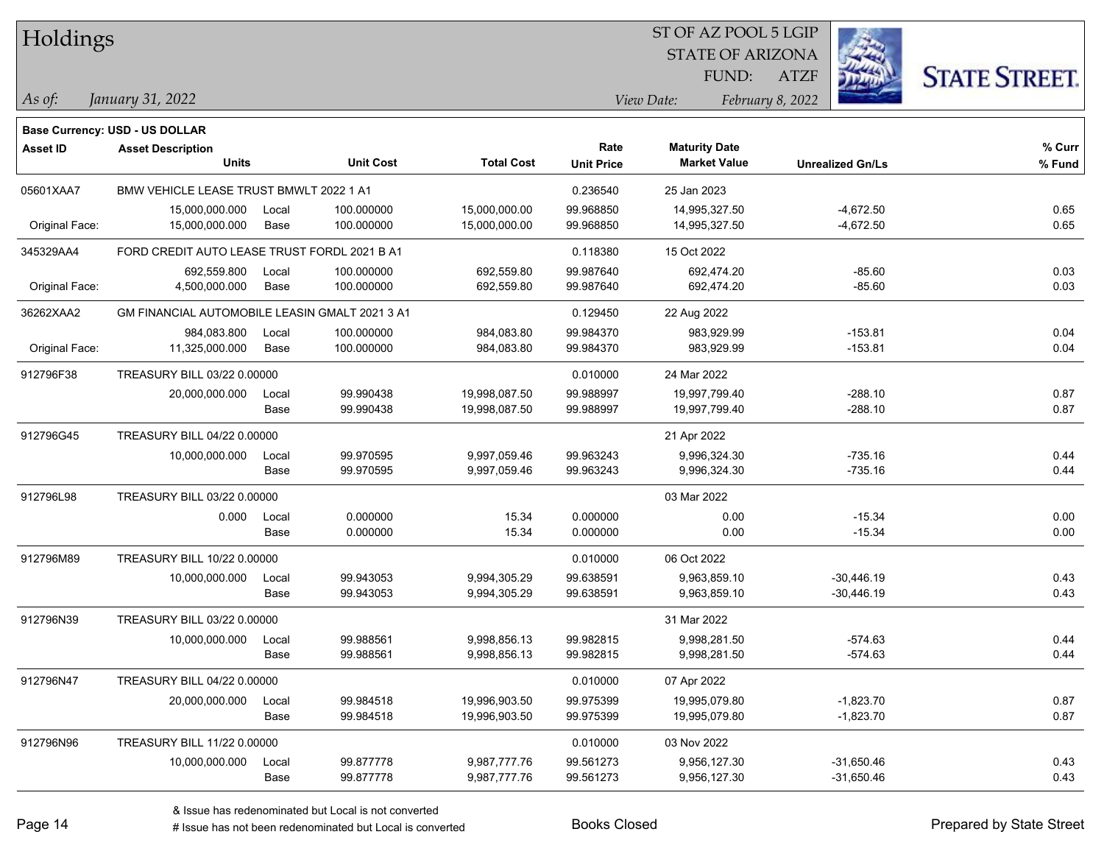| Holdings        |                                                |       |                  |                   |                   | ST OF AZ POOL 5 LGIP    |                         |                      |
|-----------------|------------------------------------------------|-------|------------------|-------------------|-------------------|-------------------------|-------------------------|----------------------|
|                 |                                                |       |                  |                   |                   | <b>STATE OF ARIZONA</b> |                         |                      |
|                 |                                                |       |                  |                   |                   | FUND:                   | <b>ATZF</b>             | <b>STATE STREET.</b> |
| As of:          | January 31, 2022                               |       |                  |                   |                   | View Date:              | February 8, 2022        |                      |
|                 | <b>Base Currency: USD - US DOLLAR</b>          |       |                  |                   |                   |                         |                         |                      |
| <b>Asset ID</b> | <b>Asset Description</b>                       |       |                  |                   | Rate              | <b>Maturity Date</b>    |                         | % Curr               |
|                 | <b>Units</b>                                   |       | <b>Unit Cost</b> | <b>Total Cost</b> | <b>Unit Price</b> | <b>Market Value</b>     | <b>Unrealized Gn/Ls</b> | % Fund               |
| 05601XAA7       | BMW VEHICLE LEASE TRUST BMWLT 2022 1 A1        |       |                  |                   | 0.236540          | 25 Jan 2023             |                         |                      |
|                 | 15,000,000.000                                 | Local | 100.000000       | 15,000,000.00     | 99.968850         | 14,995,327.50           | $-4,672.50$             | 0.65                 |
| Original Face:  | 15,000,000.000                                 | Base  | 100.000000       | 15,000,000.00     | 99.968850         | 14,995,327.50           | $-4,672.50$             | 0.65                 |
| 345329AA4       | FORD CREDIT AUTO LEASE TRUST FORDL 2021 B A1   |       |                  |                   | 0.118380          | 15 Oct 2022             |                         |                      |
|                 | 692,559.800                                    | Local | 100.000000       | 692,559.80        | 99.987640         | 692,474.20              | $-85.60$                | 0.03                 |
| Original Face:  | 4,500,000.000                                  | Base  | 100.000000       | 692,559.80        | 99.987640         | 692,474.20              | $-85.60$                | 0.03                 |
| 36262XAA2       | GM FINANCIAL AUTOMOBILE LEASIN GMALT 2021 3 A1 |       |                  |                   | 0.129450          | 22 Aug 2022             |                         |                      |
|                 | 984,083.800                                    | Local | 100.000000       | 984,083.80        | 99.984370         | 983,929.99              | $-153.81$               | 0.04                 |
| Original Face:  | 11,325,000.000                                 | Base  | 100.000000       | 984,083.80        | 99.984370         | 983,929.99              | $-153.81$               | 0.04                 |
| 912796F38       | TREASURY BILL 03/22 0.00000                    |       |                  |                   | 0.010000          | 24 Mar 2022             |                         |                      |
|                 | 20,000,000.000                                 | Local | 99.990438        | 19,998,087.50     | 99.988997         | 19,997,799.40           | $-288.10$               | 0.87                 |
|                 |                                                | Base  | 99.990438        | 19,998,087.50     | 99.988997         | 19,997,799.40           | $-288.10$               | 0.87                 |
| 912796G45       | <b>TREASURY BILL 04/22 0.00000</b>             |       |                  |                   |                   | 21 Apr 2022             |                         |                      |
|                 | 10,000,000.000                                 | Local | 99.970595        | 9,997,059.46      | 99.963243         | 9,996,324.30            | $-735.16$               | 0.44                 |
|                 |                                                | Base  | 99.970595        | 9,997,059.46      | 99.963243         | 9,996,324.30            | $-735.16$               | 0.44                 |
| 912796L98       | TREASURY BILL 03/22 0.00000                    |       |                  |                   |                   | 03 Mar 2022             |                         |                      |
|                 | 0.000                                          | Local | 0.000000         | 15.34             | 0.000000          | 0.00                    | $-15.34$                | 0.00                 |
|                 |                                                | Base  | 0.000000         | 15.34             | 0.000000          | 0.00                    | $-15.34$                | 0.00                 |
| 912796M89       | TREASURY BILL 10/22 0.00000                    |       |                  |                   | 0.010000          | 06 Oct 2022             |                         |                      |
|                 | 10,000,000.000                                 | Local | 99.943053        | 9,994,305.29      | 99.638591         | 9,963,859.10            | $-30,446.19$            | 0.43                 |
|                 |                                                | Base  | 99.943053        | 9,994,305.29      | 99.638591         | 9,963,859.10            | $-30,446.19$            | 0.43                 |
| 912796N39       | TREASURY BILL 03/22 0.00000                    |       |                  |                   |                   | 31 Mar 2022             |                         |                      |
|                 | 10,000,000.000                                 | Local | 99.988561        | 9,998,856.13      | 99.982815         | 9,998,281.50            | $-574.63$               | 0.44                 |
|                 |                                                | Base  | 99.988561        | 9,998,856.13      | 99.982815         | 9,998,281.50            | $-574.63$               | 0.44                 |
| 912796N47       | TREASURY BILL 04/22 0.00000                    |       |                  |                   | 0.010000          | 07 Apr 2022             |                         |                      |
|                 | 20,000,000.000                                 | Local | 99.984518        | 19,996,903.50     | 99.975399         | 19,995,079.80           | $-1,823.70$             | 0.87                 |
|                 |                                                | Base  | 99.984518        | 19,996,903.50     | 99.975399         | 19,995,079.80           | $-1,823.70$             | 0.87                 |
| 912796N96       | TREASURY BILL 11/22 0.00000                    |       |                  |                   | 0.010000          | 03 Nov 2022             |                         |                      |
|                 | 10,000,000.000                                 | Local | 99.877778        | 9,987,777.76      | 99.561273         | 9,956,127.30            | $-31,650.46$            | 0.43                 |
|                 |                                                | Base  | 99.877778        | 9,987,777.76      | 99.561273         | 9,956,127.30            | $-31,650.46$            | 0.43                 |

# Issue has not been redenominated but Local is converted Books Closed Prepared by State Street

٦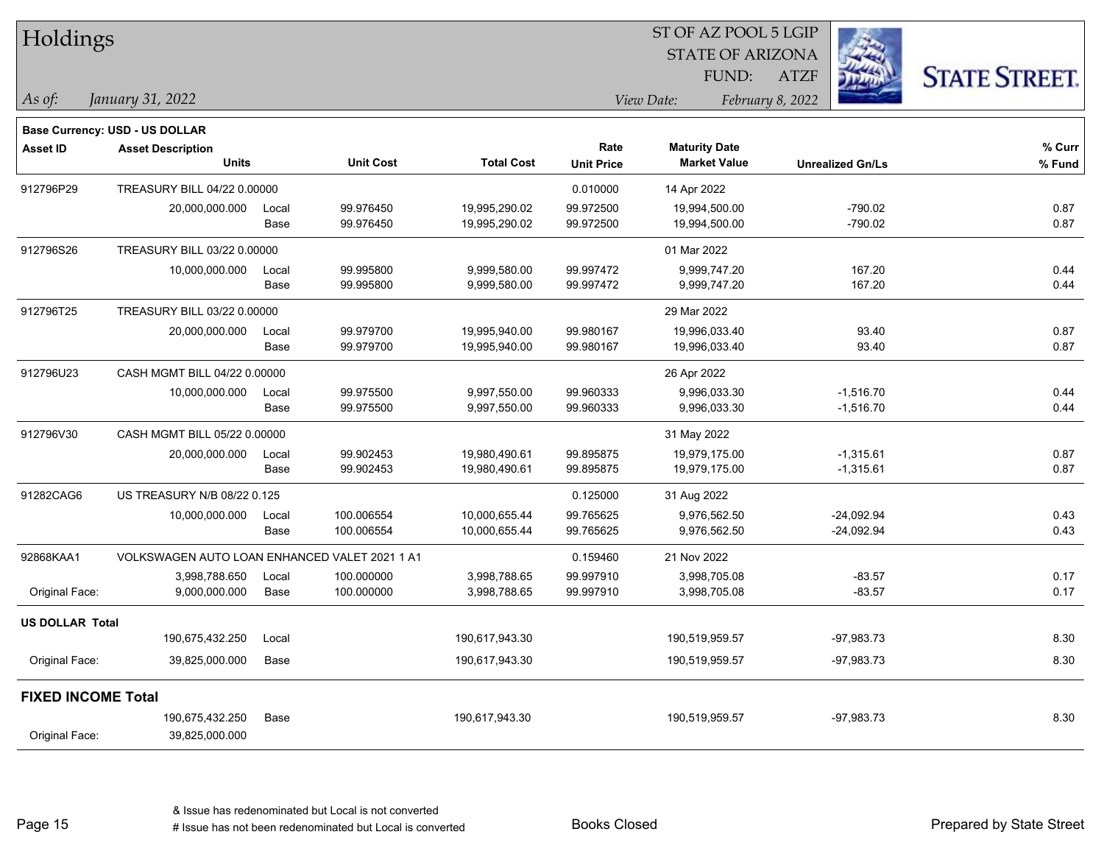| Holdings                  |                                               |       |                  |                   |                   | ST OF AZ POOL 5 LGIP    |                         |                      |
|---------------------------|-----------------------------------------------|-------|------------------|-------------------|-------------------|-------------------------|-------------------------|----------------------|
|                           |                                               |       |                  |                   |                   | <b>STATE OF ARIZONA</b> |                         |                      |
|                           |                                               |       |                  |                   |                   | FUND:                   | <b>ATZF</b>             | <b>STATE STREET.</b> |
| As of:                    | January 31, 2022                              |       |                  |                   |                   | View Date:              | February 8, 2022        |                      |
|                           | <b>Base Currency: USD - US DOLLAR</b>         |       |                  |                   |                   |                         |                         |                      |
| Asset ID                  | <b>Asset Description</b>                      |       |                  |                   | Rate              | <b>Maturity Date</b>    |                         | % Curr               |
|                           | <b>Units</b>                                  |       | <b>Unit Cost</b> | <b>Total Cost</b> | <b>Unit Price</b> | <b>Market Value</b>     | <b>Unrealized Gn/Ls</b> | % Fund               |
| 912796P29                 | TREASURY BILL 04/22 0.00000                   |       |                  |                   | 0.010000          | 14 Apr 2022             |                         |                      |
|                           | 20,000,000.000                                | Local | 99.976450        | 19,995,290.02     | 99.972500         | 19,994,500.00           | $-790.02$               | 0.87                 |
|                           |                                               | Base  | 99.976450        | 19,995,290.02     | 99.972500         | 19,994,500.00           | -790.02                 | 0.87                 |
| 912796S26                 | TREASURY BILL 03/22 0.00000                   |       |                  |                   |                   | 01 Mar 2022             |                         |                      |
|                           | 10,000,000.000                                | Local | 99.995800        | 9,999,580.00      | 99.997472         | 9,999,747.20            | 167.20                  | 0.44                 |
|                           |                                               | Base  | 99.995800        | 9,999,580.00      | 99.997472         | 9,999,747.20            | 167.20                  | 0.44                 |
| 912796T25                 | TREASURY BILL 03/22 0.00000                   |       |                  |                   |                   | 29 Mar 2022             |                         |                      |
|                           | 20,000,000.000                                | Local | 99.979700        | 19,995,940.00     | 99.980167         | 19,996,033.40           |                         | 93.40<br>0.87        |
|                           |                                               | Base  | 99.979700        | 19,995,940.00     | 99.980167         | 19,996,033.40           |                         | 93.40<br>0.87        |
| 912796U23                 | CASH MGMT BILL 04/22 0.00000                  |       |                  |                   |                   | 26 Apr 2022             |                         |                      |
|                           | 10,000,000.000                                | Local | 99.975500        | 9,997,550.00      | 99.960333         | 9,996,033.30            | $-1,516.70$             | 0.44                 |
|                           |                                               | Base  | 99.975500        | 9,997,550.00      | 99.960333         | 9,996,033.30            | $-1,516.70$             | 0.44                 |
| 912796V30                 | CASH MGMT BILL 05/22 0.00000                  |       |                  |                   |                   | 31 May 2022             |                         |                      |
|                           | 20,000,000.000                                | Local | 99.902453        | 19,980,490.61     | 99.895875         | 19,979,175.00           | $-1,315.61$             | 0.87                 |
|                           |                                               | Base  | 99.902453        | 19,980,490.61     | 99.895875         | 19,979,175.00           | $-1,315.61$             | 0.87                 |
| 91282CAG6                 | US TREASURY N/B 08/22 0.125                   |       |                  |                   | 0.125000          | 31 Aug 2022             |                         |                      |
|                           | 10,000,000.000                                | Local | 100.006554       | 10,000,655.44     | 99.765625         | 9,976,562.50            | $-24,092.94$            | 0.43                 |
|                           |                                               | Base  | 100.006554       | 10,000,655.44     | 99.765625         | 9,976,562.50            | $-24,092.94$            | 0.43                 |
| 92868KAA1                 | VOLKSWAGEN AUTO LOAN ENHANCED VALET 2021 1 A1 |       |                  |                   | 0.159460          | 21 Nov 2022             |                         |                      |
|                           | 3,998,788.650                                 | Local | 100.000000       | 3,998,788.65      | 99.997910         | 3,998,705.08            | $-83.57$                | 0.17                 |
| Original Face:            | 9,000,000.000                                 | Base  | 100.000000       | 3,998,788.65      | 99.997910         | 3,998,705.08            | $-83.57$                | 0.17                 |
| <b>US DOLLAR Total</b>    |                                               |       |                  |                   |                   |                         |                         |                      |
|                           | 190,675,432.250                               | Local |                  | 190,617,943.30    |                   | 190,519,959.57          | $-97,983.73$            | 8.30                 |
| Original Face:            | 39,825,000.000                                | Base  |                  | 190,617,943.30    |                   | 190,519,959.57          | $-97,983.73$            | 8.30                 |
| <b>FIXED INCOME Total</b> |                                               |       |                  |                   |                   |                         |                         |                      |
|                           | 190,675,432.250                               | Base  |                  | 190,617,943.30    |                   | 190,519,959.57          | $-97,983.73$            | 8.30                 |
| Original Face:            | 39,825,000.000                                |       |                  |                   |                   |                         |                         |                      |
|                           |                                               |       |                  |                   |                   |                         |                         |                      |

Page 15

٦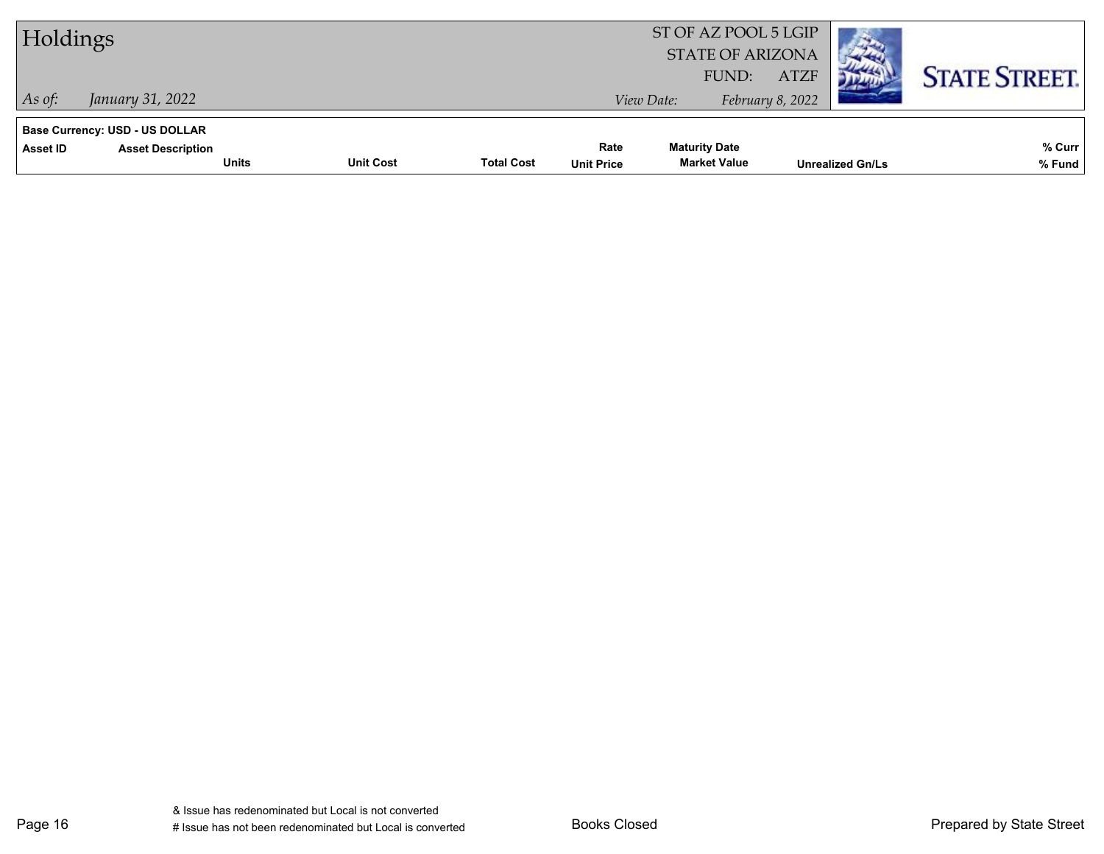| Holdings                                                                      |                                  |                   |                           | ST OF AZ POOL 5 LGIP<br><b>STATE OF ARIZONA</b> |                                 |                         |                      |
|-------------------------------------------------------------------------------|----------------------------------|-------------------|---------------------------|-------------------------------------------------|---------------------------------|-------------------------|----------------------|
| January 31, 2022<br>As of:                                                    |                                  |                   | View Date:                | FUND:                                           | <b>ATZF</b><br>February 8, 2022 |                         | <b>STATE STREET.</b> |
| <b>Base Currency: USD - US DOLLAR</b><br>Asset ID<br><b>Asset Description</b> | <b>Units</b><br><b>Unit Cost</b> | <b>Total Cost</b> | Rate<br><b>Unit Price</b> | <b>Maturity Date</b><br><b>Market Value</b>     |                                 | <b>Unrealized Gn/Ls</b> | % Curr<br>% Fund     |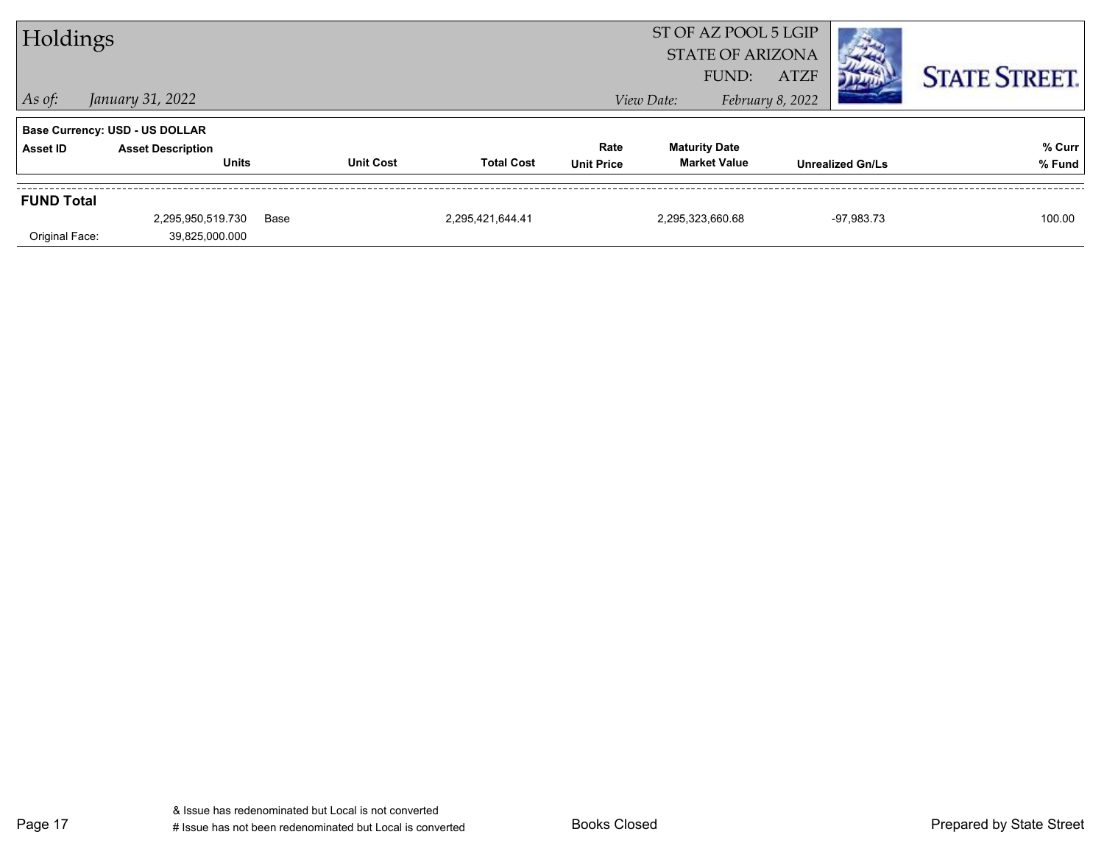| Holdings          |                                       |      |                  | ST OF AZ POOL 5 LGIP<br><b>STATE OF ARIZONA</b><br><b>ATZF</b><br>FUND: |                   |                      |                  |                         |                      |
|-------------------|---------------------------------------|------|------------------|-------------------------------------------------------------------------|-------------------|----------------------|------------------|-------------------------|----------------------|
| $\vert$ As of:    | January 31, 2022                      |      |                  |                                                                         |                   | View Date:           | February 8, 2022 |                         | <b>STATE STREET.</b> |
|                   | <b>Base Currency: USD - US DOLLAR</b> |      |                  |                                                                         |                   |                      |                  |                         |                      |
| Asset ID          | <b>Asset Description</b>              |      |                  |                                                                         | Rate              | <b>Maturity Date</b> |                  |                         | % Curr               |
|                   | <b>Units</b>                          |      | <b>Unit Cost</b> | <b>Total Cost</b>                                                       | <b>Unit Price</b> | <b>Market Value</b>  |                  | <b>Unrealized Gn/Ls</b> | % Fund               |
| <b>FUND Total</b> |                                       |      |                  |                                                                         |                   |                      |                  |                         |                      |
|                   | 2,295,950,519.730                     | Base |                  | 2,295,421,644.41                                                        |                   | 2,295,323,660.68     |                  | $-97,983.73$            | 100.00               |
| Original Face:    | 39,825,000.000                        |      |                  |                                                                         |                   |                      |                  |                         |                      |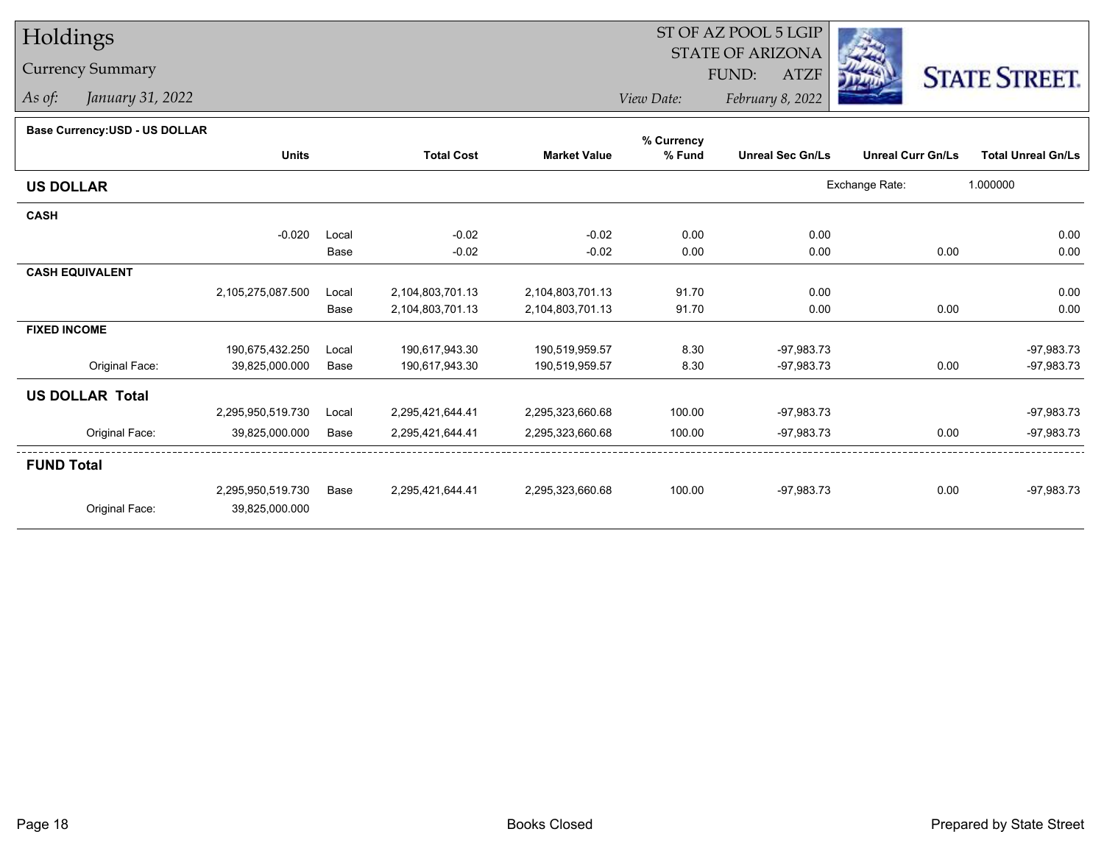## Holdings

## Currency Summary

*As of: January 31, 2022*

## ST OF AZ POOL 5 LGIP STATE OF ARIZONAATZF FUND:



*View Date:February 8, 2022*

## **Base Currency:USD - US DOLLAR**

|                        |                   |       |                   |                     | % Currency |                         |                          |                           |
|------------------------|-------------------|-------|-------------------|---------------------|------------|-------------------------|--------------------------|---------------------------|
|                        | <b>Units</b>      |       | <b>Total Cost</b> | <b>Market Value</b> | % Fund     | <b>Unreal Sec Gn/Ls</b> | <b>Unreal Curr Gn/Ls</b> | <b>Total Unreal Gn/Ls</b> |
| <b>US DOLLAR</b>       |                   |       |                   |                     |            |                         | Exchange Rate:           | 1.000000                  |
| <b>CASH</b>            |                   |       |                   |                     |            |                         |                          |                           |
|                        | $-0.020$          | Local | $-0.02$           | $-0.02$             | 0.00       | 0.00                    |                          | 0.00                      |
|                        |                   | Base  | $-0.02$           | $-0.02$             | 0.00       | 0.00                    | 0.00                     | 0.00                      |
| <b>CASH EQUIVALENT</b> |                   |       |                   |                     |            |                         |                          |                           |
|                        | 2,105,275,087.500 | Local | 2,104,803,701.13  | 2,104,803,701.13    | 91.70      | 0.00                    |                          | 0.00                      |
|                        |                   | Base  | 2,104,803,701.13  | 2,104,803,701.13    | 91.70      | 0.00                    | 0.00                     | 0.00                      |
| <b>FIXED INCOME</b>    |                   |       |                   |                     |            |                         |                          |                           |
|                        | 190,675,432.250   | Local | 190,617,943.30    | 190,519,959.57      | 8.30       | $-97,983.73$            |                          | $-97,983.73$              |
| Original Face:         | 39,825,000.000    | Base  | 190,617,943.30    | 190,519,959.57      | 8.30       | -97,983.73              | 0.00                     | $-97,983.73$              |
| <b>US DOLLAR Total</b> |                   |       |                   |                     |            |                         |                          |                           |
|                        | 2,295,950,519.730 | Local | 2,295,421,644.41  | 2,295,323,660.68    | 100.00     | -97,983.73              |                          | $-97,983.73$              |
| Original Face:         | 39,825,000.000    | Base  | 2,295,421,644.41  | 2,295,323,660.68    | 100.00     | -97,983.73              | 0.00                     | -97,983.73                |
| <b>FUND Total</b>      |                   |       |                   |                     |            |                         |                          |                           |
|                        | 2,295,950,519.730 | Base  | 2,295,421,644.41  | 2,295,323,660.68    | 100.00     | $-97,983.73$            | 0.00                     | $-97,983.73$              |
| Original Face:         | 39,825,000.000    |       |                   |                     |            |                         |                          |                           |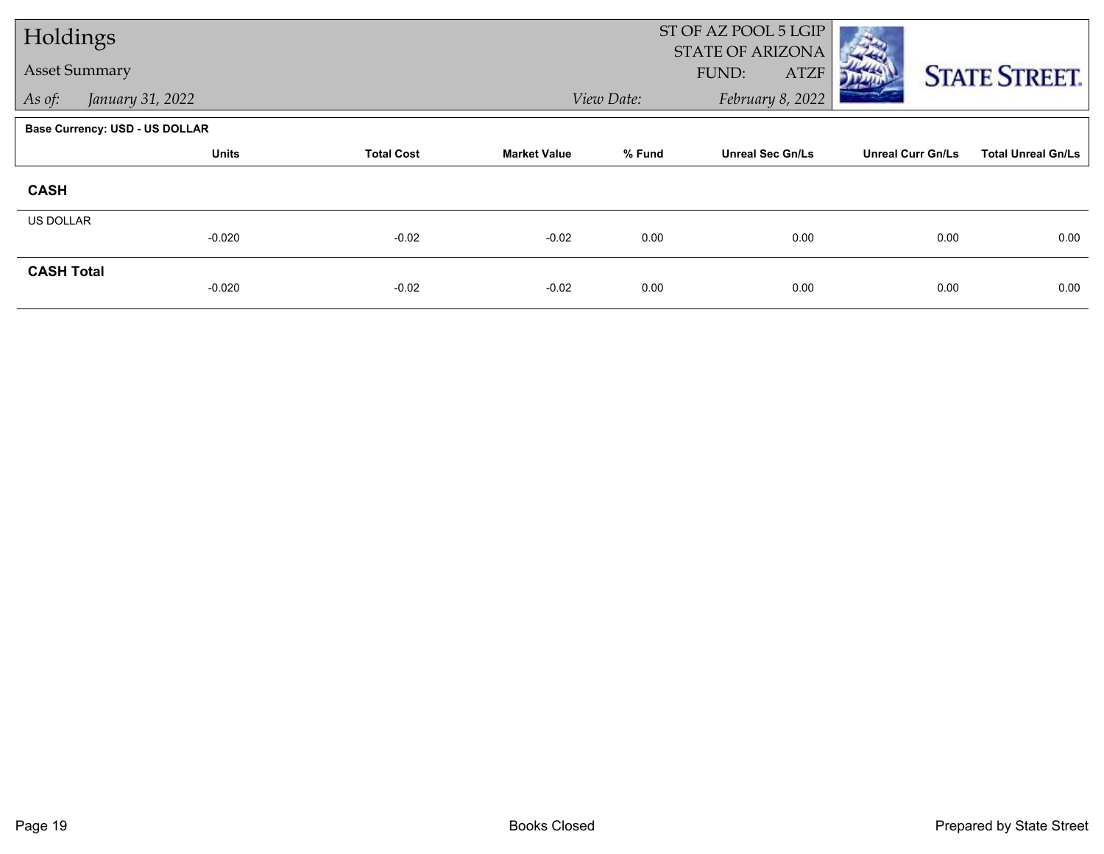| Holdings             |                                |                   |                     |            | ST OF AZ POOL 5 LGIP                     |                          |                           |
|----------------------|--------------------------------|-------------------|---------------------|------------|------------------------------------------|--------------------------|---------------------------|
| <b>Asset Summary</b> |                                |                   |                     |            | STATE OF ARIZONA<br>FUND:<br><b>ATZF</b> |                          | <b>STATE STREET.</b>      |
| As of:               | January 31, 2022               |                   |                     | View Date: | February 8, 2022                         |                          |                           |
|                      | Base Currency: USD - US DOLLAR |                   |                     |            |                                          |                          |                           |
|                      | <b>Units</b>                   | <b>Total Cost</b> | <b>Market Value</b> | % Fund     | <b>Unreal Sec Gn/Ls</b>                  | <b>Unreal Curr Gn/Ls</b> | <b>Total Unreal Gn/Ls</b> |
| <b>CASH</b>          |                                |                   |                     |            |                                          |                          |                           |
| <b>US DOLLAR</b>     |                                |                   |                     |            |                                          |                          |                           |
|                      | $-0.020$                       | $-0.02$           | $-0.02$             | 0.00       | 0.00                                     | 0.00                     | 0.00                      |
| <b>CASH Total</b>    |                                |                   |                     |            |                                          |                          |                           |
|                      | $-0.020$                       | $-0.02$           | $-0.02$             | 0.00       | 0.00                                     | 0.00                     | 0.00                      |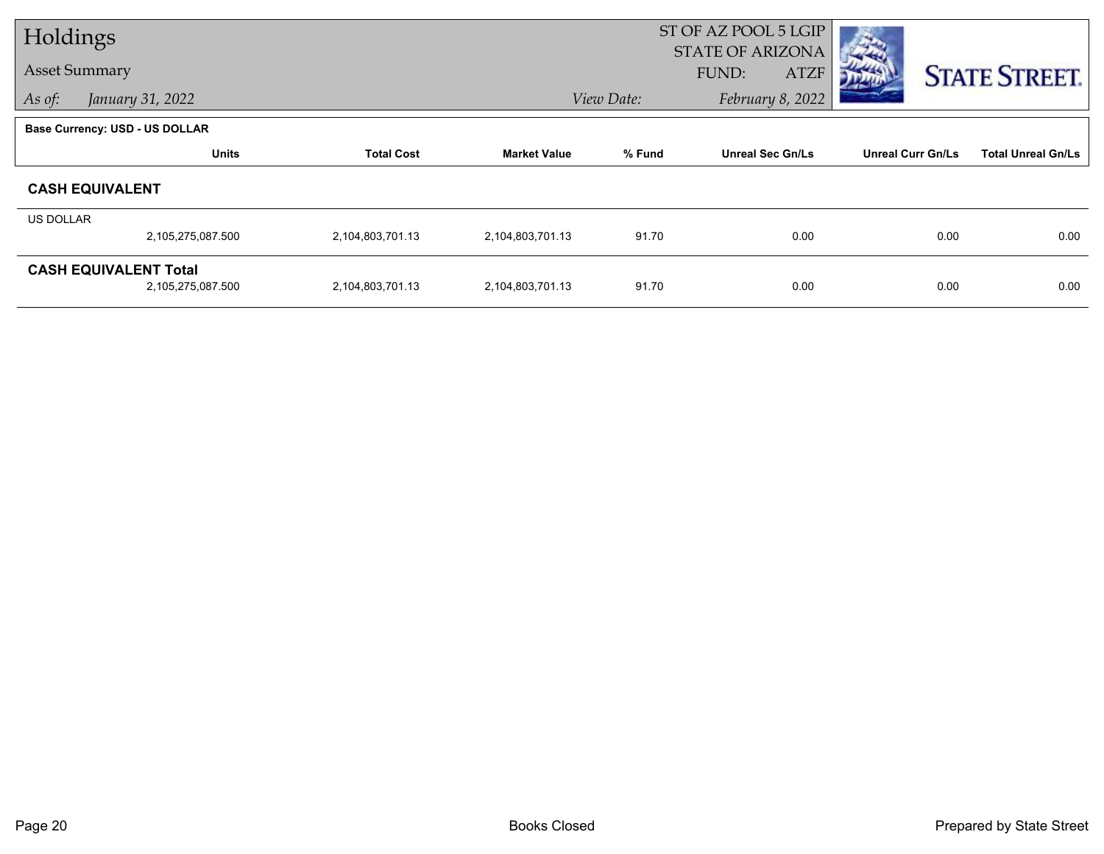| Holdings             |                                                   |                   |                     |            | ST OF AZ POOL 5 LGIP                            |                          |                           |
|----------------------|---------------------------------------------------|-------------------|---------------------|------------|-------------------------------------------------|--------------------------|---------------------------|
| <b>Asset Summary</b> |                                                   |                   |                     |            | <b>STATE OF ARIZONA</b><br>FUND:<br><b>ATZF</b> |                          | <b>STATE STREET.</b>      |
| As of:               | January 31, 2022                                  |                   |                     | View Date: | February 8, 2022                                |                          |                           |
|                      | <b>Base Currency: USD - US DOLLAR</b>             |                   |                     |            |                                                 |                          |                           |
|                      | <b>Units</b>                                      | <b>Total Cost</b> | <b>Market Value</b> | % Fund     | <b>Unreal Sec Gn/Ls</b>                         | <b>Unreal Curr Gn/Ls</b> | <b>Total Unreal Gn/Ls</b> |
|                      | <b>CASH EQUIVALENT</b>                            |                   |                     |            |                                                 |                          |                           |
| <b>US DOLLAR</b>     |                                                   |                   |                     |            |                                                 |                          |                           |
|                      | 2,105,275,087.500                                 | 2,104,803,701.13  | 2,104,803,701.13    | 91.70      | 0.00                                            | 0.00                     | 0.00                      |
|                      | <b>CASH EQUIVALENT Total</b><br>2,105,275,087.500 | 2,104,803,701.13  | 2,104,803,701.13    | 91.70      | 0.00                                            | 0.00                     | 0.00                      |
|                      |                                                   |                   |                     |            |                                                 |                          |                           |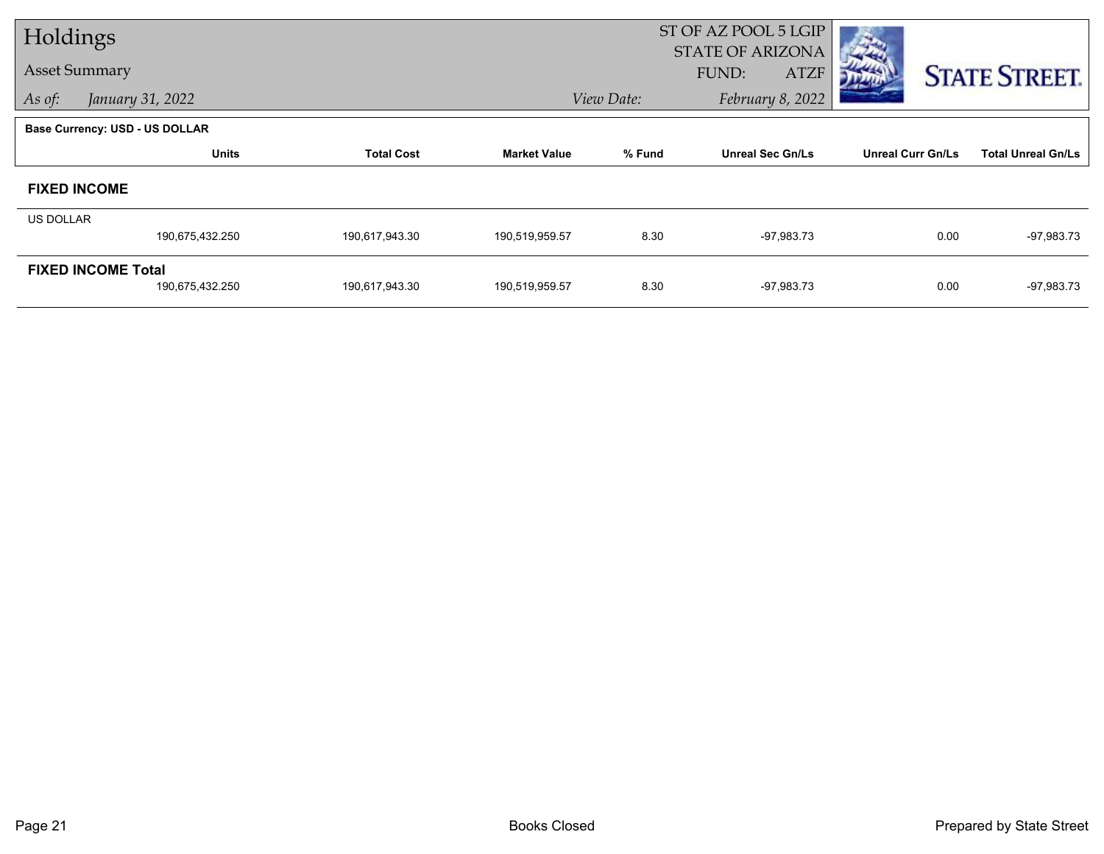| Holdings             |                                |                   |                     |            | ST OF AZ POOL 5 LGIP<br><b>STATE OF ARIZONA</b> |                          |                           |
|----------------------|--------------------------------|-------------------|---------------------|------------|-------------------------------------------------|--------------------------|---------------------------|
| <b>Asset Summary</b> |                                |                   |                     |            | FUND:<br><b>ATZF</b>                            |                          | <b>STATE STREET.</b>      |
| As of:               | January 31, 2022               |                   |                     | View Date: | February 8, 2022                                |                          |                           |
|                      | Base Currency: USD - US DOLLAR |                   |                     |            |                                                 |                          |                           |
|                      | <b>Units</b>                   | <b>Total Cost</b> | <b>Market Value</b> | % Fund     | <b>Unreal Sec Gn/Ls</b>                         | <b>Unreal Curr Gn/Ls</b> | <b>Total Unreal Gn/Ls</b> |
| <b>FIXED INCOME</b>  |                                |                   |                     |            |                                                 |                          |                           |
| US DOLLAR            |                                |                   |                     |            |                                                 |                          |                           |
|                      | 190,675,432.250                | 190,617,943.30    | 190,519,959.57      | 8.30       | $-97,983.73$                                    | 0.00                     | $-97,983.73$              |
|                      | <b>FIXED INCOME Total</b>      |                   |                     |            |                                                 |                          |                           |
|                      | 190,675,432.250                | 190,617,943.30    | 190,519,959.57      | 8.30       | $-97,983.73$                                    | 0.00                     | $-97,983.73$              |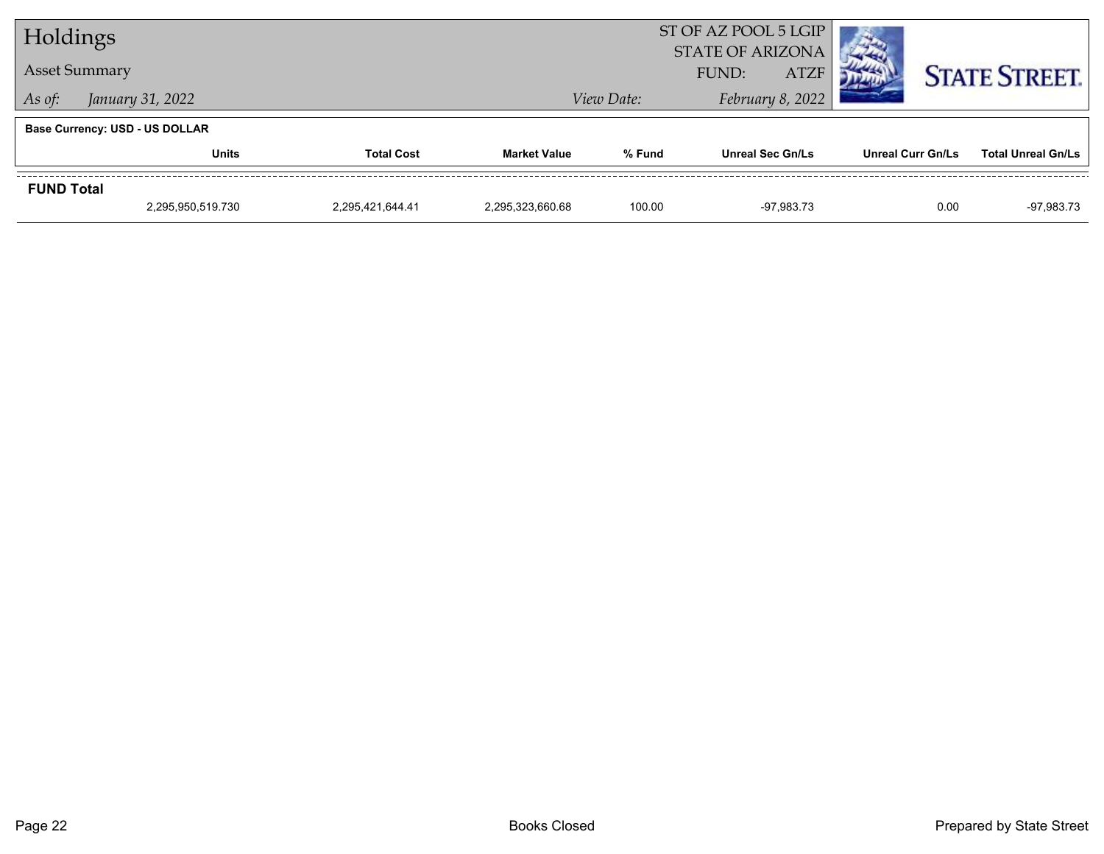| Holdings             |                                       |                   |                     | ST OF AZ POOL 5 LGIP |                                                 |                          |                           |
|----------------------|---------------------------------------|-------------------|---------------------|----------------------|-------------------------------------------------|--------------------------|---------------------------|
| <b>Asset Summary</b> |                                       |                   |                     |                      | <b>STATE OF ARIZONA</b><br><b>ATZF</b><br>FUND: |                          | <b>STATE STREET.</b>      |
| As of:               | January 31, 2022                      |                   |                     | View Date:           | February 8, 2022                                |                          |                           |
|                      | <b>Base Currency: USD - US DOLLAR</b> |                   |                     |                      |                                                 |                          |                           |
|                      | <b>Units</b>                          | <b>Total Cost</b> | <b>Market Value</b> | % Fund               | <b>Unreal Sec Gn/Ls</b>                         | <b>Unreal Curr Gn/Ls</b> | <b>Total Unreal Gn/Ls</b> |
| <b>FUND Total</b>    |                                       |                   |                     |                      |                                                 |                          |                           |
|                      | 2,295,950,519.730                     | 2,295,421,644.41  | 2.295.323.660.68    | 100.00               | -97.983.73                                      | 0.00                     | -97,983.73                |